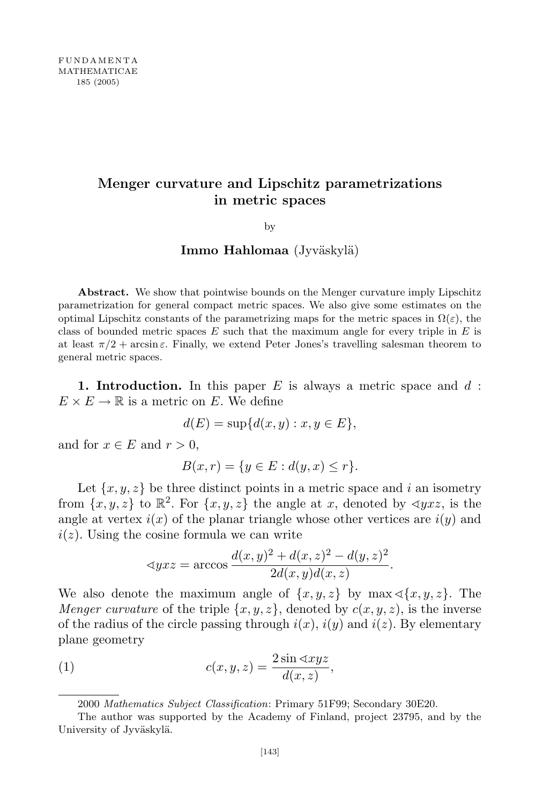# Menger curvature and Lipschitz parametrizations in metric spaces

by

# Immo Hahlomaa (Jyväskylä)

Abstract. We show that pointwise bounds on the Menger curvature imply Lipschitz parametrization for general compact metric spaces. We also give some estimates on the optimal Lipschitz constants of the parametrizing maps for the metric spaces in  $\Omega(\varepsilon)$ , the class of bounded metric spaces E such that the maximum angle for every triple in  $E$  is at least  $\pi/2$  + arcsin  $\varepsilon$ . Finally, we extend Peter Jones's travelling salesman theorem to general metric spaces.

1. Introduction. In this paper  $E$  is always a metric space and  $d$ :  $E \times E \to \mathbb{R}$  is a metric on E. We define

$$
d(E) = \sup\{d(x, y) : x, y \in E\},\
$$

and for  $x \in E$  and  $r > 0$ ,

$$
B(x,r) = \{ y \in E : d(y,x) \le r \}.
$$

Let  $\{x, y, z\}$  be three distinct points in a metric space and i an isometry from  $\{x, y, z\}$  to  $\mathbb{R}^2$ . For  $\{x, y, z\}$  the angle at x, denoted by  $\langle yxz, y \rangle$  is the angle at vertex  $i(x)$  of the planar triangle whose other vertices are  $i(y)$  and  $i(z)$ . Using the cosine formula we can write

$$
\langle yxz = \arccos \frac{d(x,y)^2 + d(x,z)^2 - d(y,z)^2}{2d(x,y)d(x,z)}.
$$

We also denote the maximum angle of  $\{x, y, z\}$  by max  $\{\{x, y, z\}$ . The *Menger curvature* of the triple  $\{x, y, z\}$ , denoted by  $c(x, y, z)$ , is the inverse of the radius of the circle passing through  $i(x)$ ,  $i(y)$  and  $i(z)$ . By elementary plane geometry

(1) 
$$
c(x, y, z) = \frac{2\sin \langle xyz \rangle}{d(x, z)},
$$

<sup>2000</sup> Mathematics Subject Classification: Primary 51F99; Secondary 30E20.

The author was supported by the Academy of Finland, project 23795, and by the University of Jyväskylä.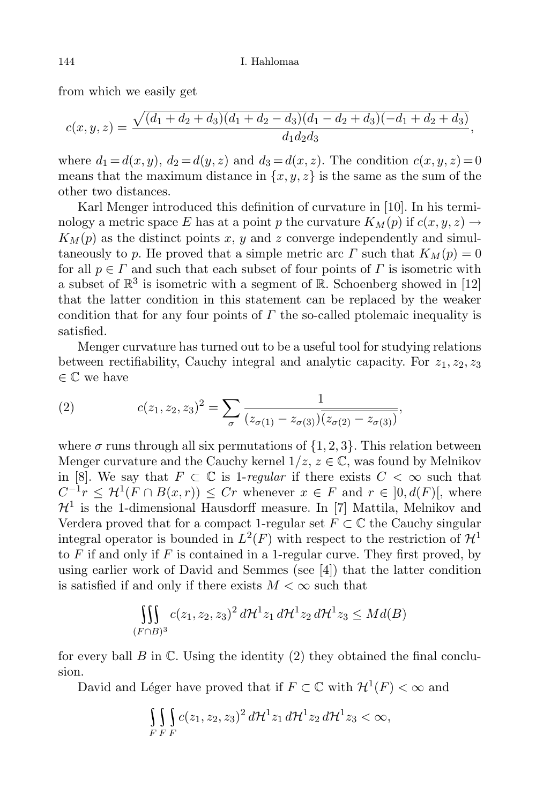from which we easily get

$$
c(x,y,z) = \frac{\sqrt{(d_1+d_2+d_3)(d_1+d_2-d_3)(d_1-d_2+d_3)(-d_1+d_2+d_3)}}{d_1d_2d_3},
$$

where  $d_1 = d(x, y)$ ,  $d_2 = d(y, z)$  and  $d_3 = d(x, z)$ . The condition  $c(x, y, z) = 0$ means that the maximum distance in  $\{x, y, z\}$  is the same as the sum of the other two distances.

Karl Menger introduced this definition of curvature in [10]. In his terminology a metric space E has at a point p the curvature  $K_M(p)$  if  $c(x, y, z) \rightarrow$  $K_M(p)$  as the distinct points x, y and z converge independently and simultaneously to p. He proved that a simple metric arc  $\Gamma$  such that  $K_M(p) = 0$ for all  $p \in \Gamma$  and such that each subset of four points of  $\Gamma$  is isometric with a subset of  $\mathbb{R}^3$  is isometric with a segment of  $\mathbb{R}$ . Schoenberg showed in [12] that the latter condition in this statement can be replaced by the weaker condition that for any four points of  $\Gamma$  the so-called ptolemaic inequality is satisfied.

Menger curvature has turned out to be a useful tool for studying relations between rectifiability, Cauchy integral and analytic capacity. For  $z_1, z_2, z_3$  $\in \mathbb{C}$  we have

(2) 
$$
c(z_1, z_2, z_3)^2 = \sum_{\sigma} \frac{1}{(z_{\sigma(1)} - z_{\sigma(3)}) \overline{(z_{\sigma(2)} - z_{\sigma(3)})}},
$$

where  $\sigma$  runs through all six permutations of  $\{1, 2, 3\}$ . This relation between Menger curvature and the Cauchy kernel  $1/z, z \in \mathbb{C}$ , was found by Melnikov in [8]. We say that  $F \subset \mathbb{C}$  is 1-regular if there exists  $C < \infty$  such that  $C^{-1}r \leq \mathcal{H}^1(F \cap B(x,r)) \leq Cr$  whenever  $x \in F$  and  $r \in [0, d(F)]$ , where  $\mathcal{H}^1$  is the 1-dimensional Hausdorff measure. In [7] Mattila, Melnikov and Verdera proved that for a compact 1-regular set  $F \subset \mathbb{C}$  the Cauchy singular integral operator is bounded in  $L^2(F)$  with respect to the restriction of  $\mathcal{H}^1$ to  $F$  if and only if  $F$  is contained in a 1-regular curve. They first proved, by using earlier work of David and Semmes (see [4]) that the latter condition is satisfied if and only if there exists  $M < \infty$  such that

$$
\iiint\limits_{(F\cap B)^3} c(z_1, z_2, z_3)^2 d\mathcal{H}^1 z_1 d\mathcal{H}^1 z_2 d\mathcal{H}^1 z_3 \leq Md(B)
$$

for every ball  $B$  in  $\mathbb C$ . Using the identity (2) they obtained the final conclusion.

David and Léger have proved that if  $F \subset \mathbb{C}$  with  $\mathcal{H}^1(F) < \infty$  and

$$
\iint\limits_{F} \int\limits_{F} c(z_1, z_2, z_3)^2 d\mathcal{H}^1 z_1 d\mathcal{H}^1 z_2 d\mathcal{H}^1 z_3 < \infty,
$$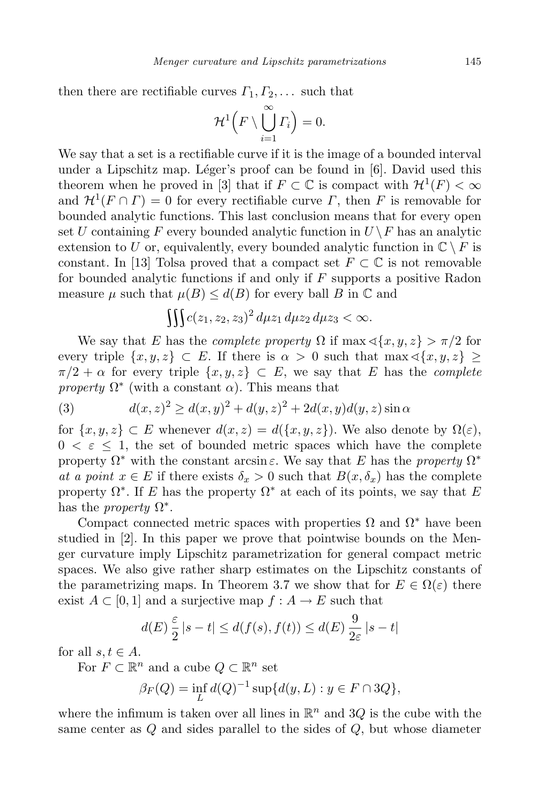then there are rectifiable curves  $\Gamma_1, \Gamma_2, \ldots$  such that

$$
\mathcal{H}^1\Big(F\setminus\bigcup_{i=1}^{\infty}\varGamma_i\Big)=0.
$$

We say that a set is a rectifiable curve if it is the image of a bounded interval under a Lipschitz map. Léger's proof can be found in  $[6]$ . David used this theorem when he proved in [3] that if  $F \subset \mathbb{C}$  is compact with  $\mathcal{H}^1(F) < \infty$ and  $\mathcal{H}^1(F \cap \Gamma) = 0$  for every rectifiable curve  $\Gamma$ , then  $F$  is removable for bounded analytic functions. This last conclusion means that for every open set U containing F every bounded analytic function in  $U \backslash F$  has an analytic extension to U or, equivalently, every bounded analytic function in  $\mathbb{C} \setminus F$  is constant. In [13] Tolsa proved that a compact set  $F \subset \mathbb{C}$  is not removable for bounded analytic functions if and only if  $F$  supports a positive Radon measure  $\mu$  such that  $\mu(B) \leq d(B)$  for every ball B in C and

$$
\iiint c(z_1, z_2, z_3)^2 d\mu z_1 d\mu z_2 d\mu z_3 < \infty.
$$

We say that E has the *complete property*  $\Omega$  if  $\max \{\langle x, y, z \rangle > \pi/2 \}$  for every triple  $\{x, y, z\} \subset E$ . If there is  $\alpha > 0$  such that max  $\langle x, y, z \rangle \ge$  $\pi/2 + \alpha$  for every triple  $\{x, y, z\} \subset E$ , we say that E has the *complete* property  $\Omega^*$  (with a constant  $\alpha$ ). This means that

(3) 
$$
d(x, z)^{2} \ge d(x, y)^{2} + d(y, z)^{2} + 2d(x, y)d(y, z)\sin \alpha
$$

for  $\{x, y, z\} \subset E$  whenever  $d(x, z) = d(\{x, y, z\})$ . We also denote by  $\Omega(\varepsilon)$ ,  $0 \leq \varepsilon \leq 1$ , the set of bounded metric spaces which have the complete property  $\Omega^*$  with the constant arcsin  $\varepsilon$ . We say that E has the property  $\Omega^*$ at a point  $x \in E$  if there exists  $\delta_x > 0$  such that  $B(x, \delta_x)$  has the complete property  $\Omega^*$ . If E has the property  $\Omega^*$  at each of its points, we say that E has the *property*  $\Omega^*$ .

Compact connected metric spaces with properties  $\Omega$  and  $\Omega^*$  have been studied in [2]. In this paper we prove that pointwise bounds on the Menger curvature imply Lipschitz parametrization for general compact metric spaces. We also give rather sharp estimates on the Lipschitz constants of the parametrizing maps. In Theorem 3.7 we show that for  $E \in \Omega(\varepsilon)$  there exist  $A \subset [0, 1]$  and a surjective map  $f : A \to E$  such that

$$
d(E)\frac{\varepsilon}{2}|s-t| \leq d(f(s), f(t)) \leq d(E)\frac{9}{2\varepsilon}|s-t|
$$

for all  $s, t \in A$ .

For  $F \subset \mathbb{R}^n$  and a cube  $Q \subset \mathbb{R}^n$  set

$$
\beta_F(Q) = \inf_L d(Q)^{-1} \sup \{ d(y, L) : y \in F \cap 3Q \},\
$$

where the infimum is taken over all lines in  $\mathbb{R}^n$  and  $3Q$  is the cube with the same center as  $Q$  and sides parallel to the sides of  $Q$ , but whose diameter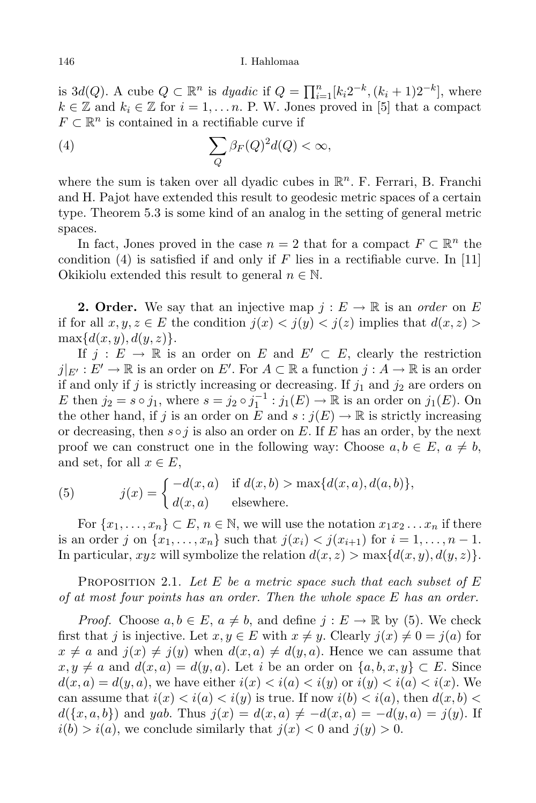is  $3d(Q)$ . A cube  $Q \subset \mathbb{R}^n$  is dyadic if  $Q = \prod_{i=1}^n [k_i 2^{-k}, (k_i + 1)2^{-k}]$ , where  $k \in \mathbb{Z}$  and  $k_i \in \mathbb{Z}$  for  $i = 1, \ldots, n$ . P. W. Jones proved in [5] that a compact  $F \subset \mathbb{R}^n$  is contained in a rectifiable curve if

(4) 
$$
\sum_{Q} \beta_F(Q)^2 d(Q) < \infty,
$$

where the sum is taken over all dyadic cubes in  $\mathbb{R}^n$ . F. Ferrari, B. Franchi and H. Pajot have extended this result to geodesic metric spaces of a certain type. Theorem 5.3 is some kind of an analog in the setting of general metric spaces.

In fact, Jones proved in the case  $n = 2$  that for a compact  $F \subset \mathbb{R}^n$  the condition (4) is satisfied if and only if F lies in a rectifiable curve. In [11] Okikiolu extended this result to general  $n \in \mathbb{N}$ .

**2. Order.** We say that an injective map  $j: E \to \mathbb{R}$  is an order on E if for all  $x, y, z \in E$  the condition  $j(x) < j(y) < j(z)$  implies that  $d(x, z) >$  $\max\{d(x, y), d(y, z)\}.$ 

If  $j : E \to \mathbb{R}$  is an order on E and  $E' \subset E$ , clearly the restriction  $j|_{E'}: E' \to \mathbb{R}$  is an order on  $E'$ . For  $A \subset \mathbb{R}$  a function  $j: A \to \mathbb{R}$  is an order if and only if j is strictly increasing or decreasing. If  $j_1$  and  $j_2$  are orders on E then  $j_2 = s \circ j_1$ , where  $s = j_2 \circ j_1^{-1} : j_1(E) \to \mathbb{R}$  is an order on  $j_1(E)$ . On the other hand, if j is an order on E and  $s : j(E) \to \mathbb{R}$  is strictly increasing or decreasing, then  $s \circ j$  is also an order on E. If E has an order, by the next proof we can construct one in the following way: Choose  $a, b \in E$ ,  $a \neq b$ , and set, for all  $x \in E$ ,

(5) 
$$
j(x) = \begin{cases} -d(x,a) & \text{if } d(x,b) > \max\{d(x,a), d(a,b)\}, \\ d(x,a) & \text{elsewhere.} \end{cases}
$$

For  $\{x_1, \ldots, x_n\} \subset E, n \in \mathbb{N}$ , we will use the notation  $x_1 x_2 \ldots x_n$  if there is an order j on  $\{x_1, ..., x_n\}$  such that  $j(x_i) < j(x_{i+1})$  for  $i = 1, ..., n-1$ . In particular,  $xyz$  will symbolize the relation  $d(x, z) > \max\{d(x, y), d(y, z)\}.$ 

PROPOSITION 2.1. Let E be a metric space such that each subset of  $E$ of at most four points has an order. Then the whole space  $E$  has an order.

*Proof.* Choose  $a, b \in E$ ,  $a \neq b$ , and define  $j : E \to \mathbb{R}$  by (5). We check first that j is injective. Let  $x, y \in E$  with  $x \neq y$ . Clearly  $j(x) \neq 0 = j(a)$  for  $x \neq a$  and  $j(x) \neq j(y)$  when  $d(x, a) \neq d(y, a)$ . Hence we can assume that  $x, y \neq a$  and  $d(x, a) = d(y, a)$ . Let i be an order on  $\{a, b, x, y\} \subset E$ . Since  $d(x, a) = d(y, a)$ , we have either  $i(x) < i(a) < i(y)$  or  $i(y) < i(a) < i(x)$ . We can assume that  $i(x) < i(a) < i(y)$  is true. If now  $i(b) < i(a)$ , then  $d(x, b)$  $d({x, a, b})$  and yab. Thus  $j(x) = d(x, a) \neq -d(x, a) = -d(y, a) = j(y)$ . If  $i(b) > i(a)$ , we conclude similarly that  $j(x) < 0$  and  $j(y) > 0$ .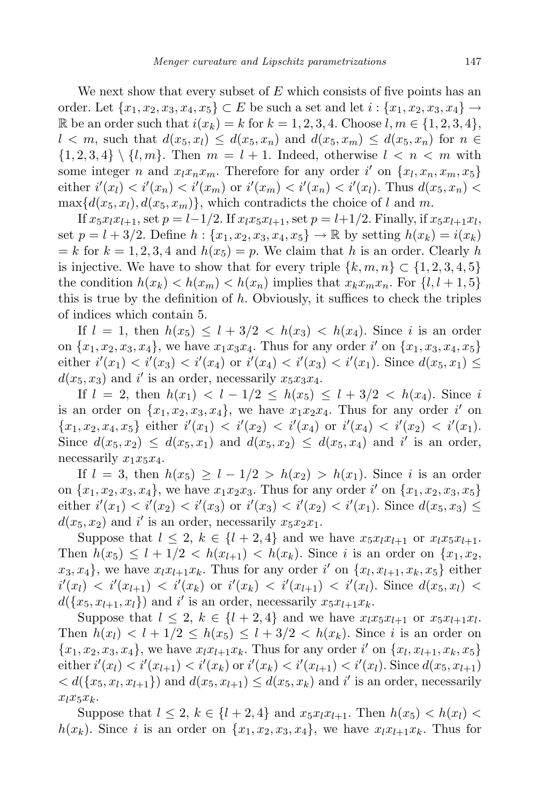We next show that every subset of  $E$  which consists of five points has an order. Let  ${x_1, x_2, x_3, x_4, x_5}$  ⊂ E be such a set and let  $i: {x_1, x_2, x_3, x_4}$  → R be an order such that  $i(x_k) = k$  for  $k = 1, 2, 3, 4$ . Choose  $l, m \in \{1, 2, 3, 4\}$ ,  $l < m$ , such that  $d(x_5, x_1) \leq d(x_5, x_n)$  and  $d(x_5, x_m) \leq d(x_5, x_n)$  for  $n \in \mathbb{Z}$  $\{1, 2, 3, 4\} \setminus \{l, m\}.$  Then  $m = l + 1$ . Indeed, otherwise  $l < n < m$  with some integer *n* and  $x_l x_n x_m$ . Therefore for any order i' on  $\{x_l, x_n, x_m, x_5\}$ either  $i'(x_l) < i'(x_n) < i'(x_m)$  or  $i'(x_m) < i'(x_n) < i'(x_l)$ . Thus  $d(x_5, x_n) <$  $\max\{d(x_5, x_1), d(x_5, x_m)\}\$ , which contradicts the choice of l and m.

If  $x_5x_lx_{l+1}$ , set  $p = l-1/2$ . If  $x_lx_5x_{l+1}$ , set  $p = l+1/2$ . Finally, if  $x_5x_{l+1}x_{l}$ , set  $p = l + 3/2$ . Define  $h : \{x_1, x_2, x_3, x_4, x_5\} \to \mathbb{R}$  by setting  $h(x_k) = i(x_k)$  $= k$  for  $k = 1, 2, 3, 4$  and  $h(x_5) = p$ . We claim that h is an order. Clearly h is injective. We have to show that for every triple  $\{k, m, n\} \subset \{1, 2, 3, 4, 5\}$ the condition  $h(x_k) < h(x_m) < h(x_n)$  implies that  $x_k x_m x_n$ . For  $\{l, l+1, 5\}$ this is true by the definition of h. Obviously, it suffices to check the triples of indices which contain 5.

If  $l = 1$ , then  $h(x_5) \leq l + 3/2 < h(x_3) < h(x_4)$ . Since i is an order on  $\{x_1, x_2, x_3, x_4\}$ , we have  $x_1x_3x_4$ . Thus for any order i' on  $\{x_1, x_3, x_4, x_5\}$ either  $i'(x_1) < i'(x_3) < i'(x_4)$  or  $i'(x_4) < i'(x_3) < i'(x_1)$ . Since  $d(x_5, x_1) \le$  $d(x_5, x_3)$  and i' is an order, necessarily  $x_5x_3x_4$ .

If  $l = 2$ , then  $h(x_1) < l - 1/2 \le h(x_5) \le l + 3/2 < h(x_4)$ . Since i is an order on  $\{x_1, x_2, x_3, x_4\}$ , we have  $x_1x_2x_4$ . Thus for any order i' on  ${x_1, x_2, x_4, x_5}$  either  $i'(x_1) < i'(x_2) < i'(x_4)$  or  $i'(x_4) < i'(x_2) < i'(x_1)$ . Since  $d(x_5, x_2) \leq d(x_5, x_1)$  and  $d(x_5, x_2) \leq d(x_5, x_4)$  and i' is an order, necessarily  $x_1x_5x_4$ .

If  $l = 3$ , then  $h(x_5) \geq l - 1/2 > h(x_2) > h(x_1)$ . Since i is an order on  $\{x_1, x_2, x_3, x_4\}$ , we have  $x_1x_2x_3$ . Thus for any order i' on  $\{x_1, x_2, x_3, x_5\}$ either  $i'(x_1) < i'(x_2) < i'(x_3)$  or  $i'(x_3) < i'(x_2) < i'(x_1)$ . Since  $d(x_5, x_3) \le$  $d(x_5, x_2)$  and i' is an order, necessarily  $x_5x_2x_1$ .

Suppose that  $l \leq 2$ ,  $k \in \{l+2, 4\}$  and we have  $x_5x_lx_{l+1}$  or  $x_lx_5x_{l+1}$ . Then  $h(x_5) \leq l + 1/2 < h(x_{l+1}) < h(x_k)$ . Since i is an order on  $\{x_1, x_2,$  $x_3, x_4\},$  we have  $x_l x_{l+1} x_k$ . Thus for any order i' on  $\{x_l, x_{l+1}, x_k, x_5\}$  either  $i'(x_l) \, < \, i'(x_{l+1}) \, < \, i'(x_k) \, \text{ or } \, i'(x_k) \, < \, i'(x_{l+1}) \, < \, i'(x_l).$  Since  $d(x_5, x_l) \, < \, i'(x_l)$  $d(\lbrace x_5, x_{l+1}, x_l \rbrace)$  and i' is an order, necessarily  $x_5x_{l+1}x_k$ .

Suppose that  $l \leq 2$ ,  $k \in \{l+2, 4\}$  and we have  $x_l x_5 x_{l+1}$  or  $x_5 x_{l+1} x_l$ . Then  $h(x_l) < l + 1/2 \leq h(x_5) \leq l + 3/2 < h(x_k)$ . Since i is an order on  ${x_1, x_2, x_3, x_4}$ , we have  $x_l x_{l+1} x_k$ . Thus for any order i' on  ${x_l, x_{l+1}, x_k, x_5}$ either  $i'(x_l) < i'(x_{l+1}) < i'(x_k)$  or  $i'(x_k) < i'(x_{l+1}) < i'(x_l)$ . Since  $d(x_5, x_{l+1})$  $\langle d(\lbrace x_5, x_l, x_{l+1} \rbrace)$  and  $d(x_5, x_{l+1}) \leq d(x_5, x_k)$  and i' is an order, necessarily  $x_l x_5 x_k$ .

Suppose that  $l \leq 2$ ,  $k \in \{l + 2, 4\}$  and  $x_5x_lx_{l+1}$ . Then  $h(x_5) < h(x_l)$  $h(x_k)$ . Since i is an order on  $\{x_1, x_2, x_3, x_4\}$ , we have  $x_l x_{l+1} x_k$ . Thus for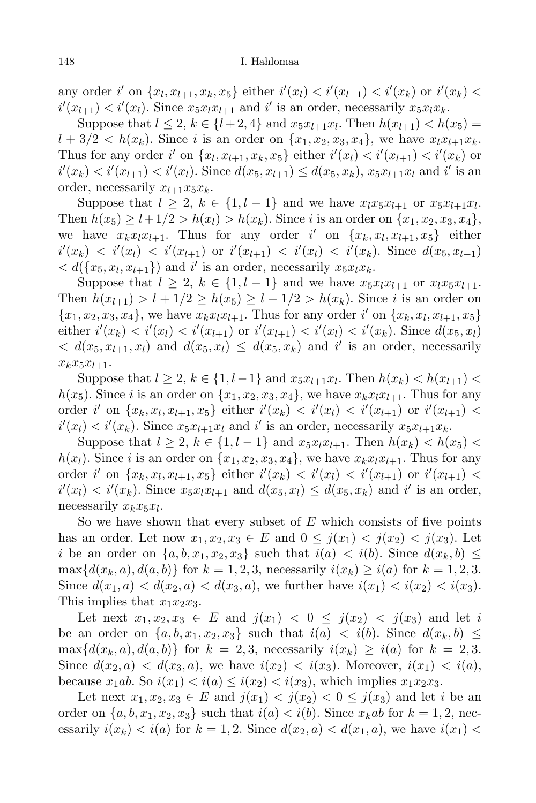any order i' on  $\{x_l, x_{l+1}, x_k, x_5\}$  either  $i'(x_l) < i'(x_{l+1}) < i'(x_k)$  or  $i'(x_k) <$  $i'(x_{l+1}) < i'(x_l)$ . Since  $x_5x_lx_{l+1}$  and  $i'$  is an order, necessarily  $x_5x_lx_k$ .

Suppose that  $l \leq 2$ ,  $k \in \{l+2, 4\}$  and  $x_5x_{l+1}x_l$ . Then  $h(x_{l+1}) < h(x_5) =$  $l + 3/2 < h(x_k)$ . Since i is an order on  $\{x_1, x_2, x_3, x_4\}$ , we have  $x_l x_{l+1} x_k$ . Thus for any order i' on  $\{x_l, x_{l+1}, x_k, x_5\}$  either  $i'(x_l) < i'(x_{l+1}) < i'(x_k)$  or  $i'(x_k) < i'(x_{l+1}) < i'(x_l)$ . Since  $d(x_5, x_{l+1}) \le d(x_5, x_k)$ ,  $x_5x_{l+1}x_l$  and  $i'$  is an order, necessarily  $x_{l+1}x_5x_k$ .

Suppose that  $l \geq 2, k \in \{1, l-1\}$  and we have  $x_l x_5 x_{l+1}$  or  $x_5 x_{l+1} x_l$ . Then  $h(x_5) \geq l+1/2 > h(x_l) > h(x_k)$ . Since i is an order on  $\{x_1, x_2, x_3, x_4\}$ , we have  $x_k x_l x_{l+1}$ . Thus for any order i' on  $\{x_k, x_l, x_{l+1}, x_5\}$  either  $i'(x_k) \, \langle i'(x_l) \, \langle i'(x_{l+1}) \, \text{ or } i'(x_{l+1}) \, \langle i'(x_l) \, \langle i'(x_k) \rangle$ . Since  $d(x_5, x_{l+1})$  $\langle d(\lbrace x_5, x_l, x_{l+1}\rbrace)$  and i' is an order, necessarily  $x_5x_lx_k$ .

Suppose that  $l \geq 2$ ,  $k \in \{1, l-1\}$  and we have  $x_5x_lx_{l+1}$  or  $x_lx_5x_{l+1}$ . Then  $h(x_{l+1}) > l + 1/2 \ge h(x_5) \ge l - 1/2 > h(x_k)$ . Since i is an order on  ${x_1, x_2, x_3, x_4}$ , we have  $x_k x_l x_{l+1}$ . Thus for any order i' on  ${x_k, x_l, x_{l+1}, x_5}$ either  $i'(x_k) < i'(x_l) < i'(x_{l+1})$  or  $i'(x_{l+1}) < i'(x_l) < i'(x_k)$ . Since  $d(x_5, x_l)$  $\langle d(x_5, x_{l+1}, x_l) \rangle$  and  $d(x_5, x_l) \leq d(x_5, x_k)$  and i' is an order, necessarily  $x_kx_5x_{l+1}$ .

Suppose that  $l \geq 2$ ,  $k \in \{1, l-1\}$  and  $x_5x_{l+1}x_l$ . Then  $h(x_k) < h(x_{l+1})$  $h(x_5)$ . Since i is an order on  $\{x_1, x_2, x_3, x_4\}$ , we have  $x_k x_l x_{l+1}$ . Thus for any order i' on  $\{x_k, x_l, x_{l+1}, x_5\}$  either  $i'(x_k) < i'(x_l) < i'(x_{l+1})$  or  $i'(x_{l+1}) <$  $i'(x_l) < i'(x_k)$ . Since  $x_5x_{l+1}x_l$  and  $i'$  is an order, necessarily  $x_5x_{l+1}x_k$ .

Suppose that  $l \geq 2$ ,  $k \in \{1, l-1\}$  and  $x_5x_lx_{l+1}$ . Then  $h(x_k) < h(x_5)$  $h(x_l)$ . Since i is an order on  $\{x_1, x_2, x_3, x_4\}$ , we have  $x_k x_l x_{l+1}$ . Thus for any order i' on  $\{x_k, x_l, x_{l+1}, x_5\}$  either  $i'(x_k) < i'(x_l) < i'(x_{l+1})$  or  $i'(x_{l+1}) <$  $i'(x_l) < i'(x_k)$ . Since  $x_5x_lx_{l+1}$  and  $d(x_5, x_l) \leq d(x_5, x_k)$  and i' is an order, necessarily  $x_k x_5 x_l$ .

So we have shown that every subset of  $E$  which consists of five points has an order. Let now  $x_1, x_2, x_3 \in E$  and  $0 \leq j(x_1) \leq j(x_2) \leq j(x_3)$ . Let i be an order on  $\{a, b, x_1, x_2, x_3\}$  such that  $i(a) < i(b)$ . Since  $d(x_k, b) \leq$  $\max\{d(x_k, a), d(a, b)\}\$ for  $k = 1, 2, 3$ , necessarily  $i(x_k) \geq i(a)$  for  $k = 1, 2, 3$ . Since  $d(x_1, a) < d(x_2, a) < d(x_3, a)$ , we further have  $i(x_1) < i(x_2) < i(x_3)$ . This implies that  $x_1x_2x_3$ .

Let next  $x_1, x_2, x_3 \in E$  and  $j(x_1) < 0 \leq j(x_2) < j(x_3)$  and let i be an order on  $\{a, b, x_1, x_2, x_3\}$  such that  $i(a) < i(b)$ . Since  $d(x_k, b) \leq$  $\max\{d(x_k, a), d(a, b)\}\$ for  $k = 2, 3$ , necessarily  $i(x_k) \geq i(a)$  for  $k = 2, 3$ . Since  $d(x_2, a) < d(x_3, a)$ , we have  $i(x_2) < i(x_3)$ . Moreover,  $i(x_1) < i(a)$ , because  $x_1ab$ . So  $i(x_1) < i(a) \leq i(x_2) < i(x_3)$ , which implies  $x_1x_2x_3$ .

Let next  $x_1, x_2, x_3 \in E$  and  $j(x_1) < j(x_2) < 0 \le j(x_3)$  and let i be an order on  $\{a, b, x_1, x_2, x_3\}$  such that  $i(a) < i(b)$ . Since  $x_kab$  for  $k = 1, 2$ , necessarily  $i(x_k) < i(a)$  for  $k = 1, 2$ . Since  $d(x_2, a) < d(x_1, a)$ , we have  $i(x_1) <$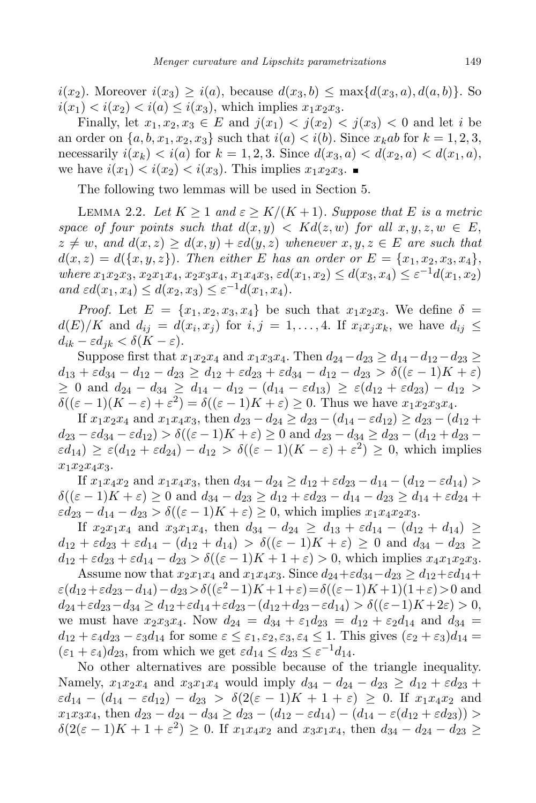$i(x_2)$ . Moreover  $i(x_3) \geq i(a)$ , because  $d(x_3, b) \leq \max\{d(x_3, a), d(a, b)\}\.$  So  $i(x_1) < i(x_2) < i(a) \leq i(x_3)$ , which implies  $x_1x_2x_3$ .

Finally, let  $x_1, x_2, x_3 \in E$  and  $j(x_1) < j(x_2) < j(x_3) < 0$  and let i be an order on  $\{a, b, x_1, x_2, x_3\}$  such that  $i(a) < i(b)$ . Since  $x_kab$  for  $k = 1, 2, 3$ , necessarily  $i(x_k) < i(a)$  for  $k = 1, 2, 3$ . Since  $d(x_3, a) < d(x_2, a) < d(x_1, a)$ , we have  $i(x_1) < i(x_2) < i(x_3)$ . This implies  $x_1x_2x_3$ .

The following two lemmas will be used in Section 5.

LEMMA 2.2. Let  $K \geq 1$  and  $\varepsilon \geq K/(K+1)$ . Suppose that E is a metric space of four points such that  $d(x, y) < Kd(z, w)$  for all  $x, y, z, w \in E$ ,  $z \neq w$ , and  $d(x, z) \geq d(x, y) + \varepsilon d(y, z)$  whenever  $x, y, z \in E$  are such that  $d(x, z) = d({x, y, z})$ . Then either E has an order or  $E = {x_1, x_2, x_3, x_4}$ , where  $x_1x_2x_3, x_2x_1x_4, x_2x_3x_4, x_1x_4x_3, \varepsilon d(x_1, x_2) \leq d(x_3, x_4) \leq \varepsilon^{-1}d(x_1, x_2)$ and  $\varepsilon d(x_1, x_4) \leq d(x_2, x_3) \leq \varepsilon^{-1} d(x_1, x_4)$ .

*Proof.* Let  $E = \{x_1, x_2, x_3, x_4\}$  be such that  $x_1x_2x_3$ . We define  $\delta =$  $d(E)/K$  and  $d_{ij} = d(x_i, x_j)$  for  $i, j = 1, ..., 4$ . If  $x_i x_j x_k$ , we have  $d_{ij} \leq$  $d_{ik} - \varepsilon d_{jk} < \delta(K - \varepsilon).$ 

Suppose first that  $x_1x_2x_4$  and  $x_1x_3x_4$ . Then  $d_{24}-d_{23} \geq d_{14}-d_{12}-d_{23} \geq$  $d_{13} + \varepsilon d_{34} - d_{12} - d_{23} \geq d_{12} + \varepsilon d_{23} + \varepsilon d_{34} - d_{12} - d_{23} > \delta((\varepsilon - 1)K + \varepsilon)$  $\geq 0$  and  $d_{24} - d_{34} \geq d_{14} - d_{12} - (d_{14} - \varepsilon d_{13}) \geq \varepsilon (d_{12} + \varepsilon d_{23}) - d_{12} >$  $\delta((\varepsilon - 1)(K - \varepsilon) + \varepsilon^2) = \delta((\varepsilon - 1)K + \varepsilon) \ge 0$ . Thus we have  $x_1x_2x_3x_4$ .

If  $x_1x_2x_4$  and  $x_1x_4x_3$ , then  $d_{23} - d_{24} \geq d_{23} - (d_{14} - \varepsilon d_{12}) \geq d_{23} - (d_{12} +$  $d_{23} - \varepsilon d_{34} - \varepsilon d_{12} > \delta((\varepsilon - 1)K + \varepsilon) \ge 0$  and  $d_{23} - d_{34} \ge d_{23} - (d_{12} + d_{23} \epsilon d_{14}$ )  $\geq \epsilon (d_{12} + \epsilon d_{24}) - d_{12} > \delta ((\epsilon - 1)(K - \epsilon) + \epsilon^2) \geq 0$ , which implies  $x_1x_2x_4x_3.$ 

If  $x_1x_4x_2$  and  $x_1x_4x_3$ , then  $d_{34} - d_{24} \geq d_{12} + \varepsilon d_{23} - d_{14} - (d_{12} - \varepsilon d_{14}) >$  $\delta((\varepsilon - 1)K + \varepsilon) \ge 0$  and  $d_{34} - d_{23} \ge d_{12} + \varepsilon d_{23} - d_{14} - d_{23} \ge d_{14} + \varepsilon d_{24} +$  $\epsilon d_{23} - d_{14} - d_{23} > \delta((\epsilon - 1)K + \epsilon) \geq 0$ , which implies  $x_1x_4x_2x_3$ .

If  $x_2x_1x_4$  and  $x_3x_1x_4$ , then  $d_{34} - d_{24} \geq d_{13} + \varepsilon d_{14} - (d_{12} + d_{14}) \geq$  $d_{12} + \varepsilon d_{23} + \varepsilon d_{14} - (d_{12} + d_{14}) > \delta((\varepsilon - 1)K + \varepsilon) \geq 0$  and  $d_{34} - d_{23} \geq$  $d_{12} + \varepsilon d_{23} + \varepsilon d_{14} - d_{23} > \delta((\varepsilon - 1)K + 1 + \varepsilon) > 0$ , which implies  $x_4x_1x_2x_3$ .

Assume now that  $x_2x_1x_4$  and  $x_1x_4x_3$ . Since  $d_{24} + \varepsilon d_{34} - d_{23} \geq d_{12} + \varepsilon d_{14} +$  $\varepsilon(d_{12} + \varepsilon d_{23} - d_{14}) - d_{23} > \delta((\varepsilon^2 - 1)K + 1 + \varepsilon) = \delta((\varepsilon - 1)K + 1)(1 + \varepsilon) > 0$  and  $d_{24} + \varepsilon d_{23} - d_{34} \geq d_{12} + \varepsilon d_{14} + \varepsilon d_{23} - (d_{12} + d_{23} - \varepsilon d_{14}) > \delta((\varepsilon - 1)K + 2\varepsilon) > 0,$ we must have  $x_2x_3x_4$ . Now  $d_{24} = d_{34} + \varepsilon_1d_{23} = d_{12} + \varepsilon_2d_{14}$  and  $d_{34} =$  $d_{12} + \varepsilon_4 d_{23} - \varepsilon_3 d_{14}$  for some  $\varepsilon \leq \varepsilon_1, \varepsilon_2, \varepsilon_3, \varepsilon_4 \leq 1$ . This gives  $(\varepsilon_2 + \varepsilon_3)d_{14} =$  $(\varepsilon_1 + \varepsilon_4)d_{23}$ , from which we get  $\varepsilon d_{14} \leq d_{23} \leq \varepsilon^{-1} d_{14}$ .

No other alternatives are possible because of the triangle inequality. Namely,  $x_1x_2x_4$  and  $x_3x_1x_4$  would imply  $d_{34} - d_{24} - d_{23} \geq d_{12} + \varepsilon d_{23} +$  $\varepsilon d_{14} - (d_{14} - \varepsilon d_{12}) - d_{23} > \delta(2(\varepsilon - 1)K + 1 + \varepsilon) \geq 0$ . If  $x_1x_4x_2$  and  $x_1x_3x_4$ , then  $d_{23} - d_{24} - d_{34} \geq d_{23} - (d_{12} - \varepsilon d_{14}) - (d_{14} - \varepsilon (d_{12} + \varepsilon d_{23}))$  $\delta(2(\varepsilon - 1)K + 1 + \varepsilon^2) \ge 0$ . If  $x_1x_4x_2$  and  $x_3x_1x_4$ , then  $d_{34} - d_{24} - d_{23} \ge 0$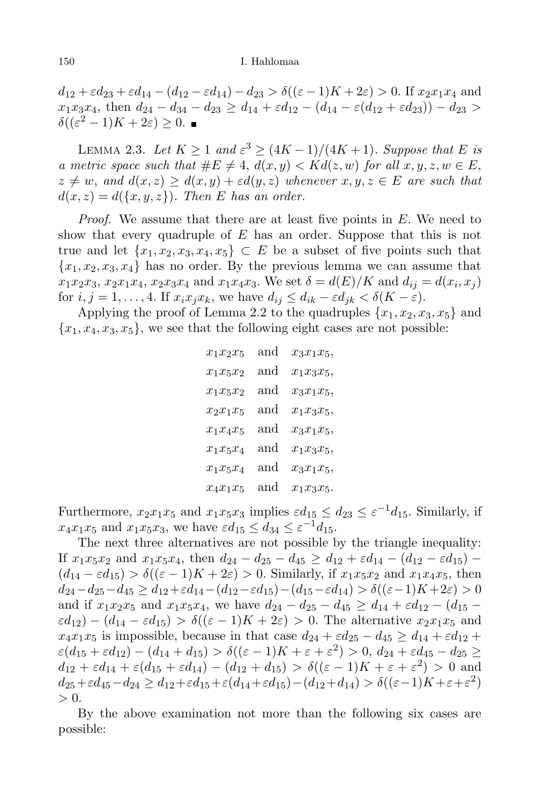$d_{12} + \varepsilon d_{23} + \varepsilon d_{14} - (d_{12} - \varepsilon d_{14}) - d_{23} > \delta((\varepsilon - 1)K + 2\varepsilon) > 0$ . If  $x_2x_1x_4$  and  $x_1x_3x_4$ , then  $d_{24} - d_{34} - d_{23} \geq d_{14} + \varepsilon d_{12} - (d_{14} - \varepsilon (d_{12} + \varepsilon d_{23})) - d_{23} >$  $\delta((\varepsilon^2-1)K+2\varepsilon)\geq 0.$ 

LEMMA 2.3. Let  $K \geq 1$  and  $\varepsilon^3 \geq (4K-1)/(4K+1)$ . Suppose that E is a metric space such that  $\#E \neq 4$ ,  $d(x, y) < Kd(z, w)$  for all  $x, y, z, w \in E$ ,  $z \neq w$ , and  $d(x, z) \geq d(x, y) + \varepsilon d(y, z)$  whenever  $x, y, z \in E$  are such that  $d(x, z) = d({x, y, z})$ . Then E has an order.

*Proof.* We assume that there are at least five points in  $E$ . We need to show that every quadruple of  $E$  has an order. Suppose that this is not true and let  $\{x_1, x_2, x_3, x_4, x_5\} \subset E$  be a subset of five points such that  ${x_1, x_2, x_3, x_4}$  has no order. By the previous lemma we can assume that  $x_1x_2x_3, x_2x_1x_4, x_2x_3x_4 \text{ and } x_1x_4x_3.$  We set  $\delta = d(E)/K$  and  $d_{ij} = d(x_i, x_j)$ for  $i, j = 1, \ldots, 4$ . If  $x_i x_j x_k$ , we have  $d_{ij} \leq d_{ik} - \varepsilon d_{jk} < \delta(K - \varepsilon)$ .

Applying the proof of Lemma 2.2 to the quadruples  $\{x_1, x_2, x_3, x_5\}$  and  ${x_1, x_4, x_3, x_5}$ , we see that the following eight cases are not possible:

| $x_1x_2x_5$ | and | $x_3x_1x_5,$ |
|-------------|-----|--------------|
| $x_1x_5x_2$ | and | $x_1x_3x_5,$ |
| $x_1x_5x_2$ | and | $x_3x_1x_5,$ |
| $x_2x_1x_5$ | and | $x_1x_3x_5,$ |
| $x_1x_4x_5$ | and | $x_3x_1x_5,$ |
| $x_1x_5x_4$ | and | $x_1x_3x_5,$ |
| $x_1x_5x_4$ | and | $x_3x_1x_5,$ |
| $x_4x_1x_5$ | and | $x_1x_3x_5.$ |

Furthermore,  $x_2x_1x_5$  and  $x_1x_5x_3$  implies  $\varepsilon d_{15} \leq d_{23} \leq \varepsilon^{-1} d_{15}$ . Similarly, if  $x_4x_1x_5$  and  $x_1x_5x_3$ , we have  $\varepsilon d_{15} \leq d_{34} \leq \varepsilon^{-1} d_{15}$ .

The next three alternatives are not possible by the triangle inequality: If  $x_1x_5x_2$  and  $x_1x_5x_4$ , then  $d_{24} - d_{25} - d_{45} \geq d_{12} + \varepsilon d_{14} - (d_{12} - \varepsilon d_{15}) (d_{14} - \varepsilon d_{15}) > \delta((\varepsilon - 1)K + 2\varepsilon) > 0$ . Similarly, if  $x_1x_5x_2$  and  $x_1x_4x_5$ , then  $d_{24}-d_{25}-d_{45} \geq d_{12}+\varepsilon d_{14}-(d_{12}-\varepsilon d_{15})-(d_{15}-\varepsilon d_{14}) > \delta((\varepsilon-1)K+2\varepsilon) > 0$ and if  $x_1x_2x_5$  and  $x_1x_5x_4$ , we have  $d_{24} - d_{25} - d_{45} \geq d_{14} + \varepsilon d_{12} - (d_{15} \varepsilon d_{12}$ ) –  $(d_{14} - \varepsilon d_{15}) > \delta((\varepsilon - 1)K + 2\varepsilon) > 0$ . The alternative  $x_2x_1x_5$  and  $x_4x_1x_5$  is impossible, because in that case  $d_{24} + \varepsilon d_{25} - d_{45} \geq d_{14} + \varepsilon d_{12} +$  $\varepsilon(d_{15} + \varepsilon d_{12}) - (d_{14} + d_{15}) > \delta((\varepsilon - 1)K + \varepsilon + \varepsilon^2) > 0, d_{24} + \varepsilon d_{45} - d_{25} \ge$  $d_{12} + \varepsilon d_{14} + \varepsilon (d_{15} + \varepsilon d_{14}) - (d_{12} + d_{15}) > \delta((\varepsilon - 1)K + \varepsilon + \varepsilon^2) > 0$  and  $d_{25} + \varepsilon d_{45} - d_{24} \geq d_{12} + \varepsilon d_{15} + \varepsilon (d_{14} + \varepsilon d_{15}) - (d_{12} + d_{14}) > \delta((\varepsilon - 1)K + \varepsilon + \varepsilon^2)$  $> 0.$ 

By the above examination not more than the following six cases are possible: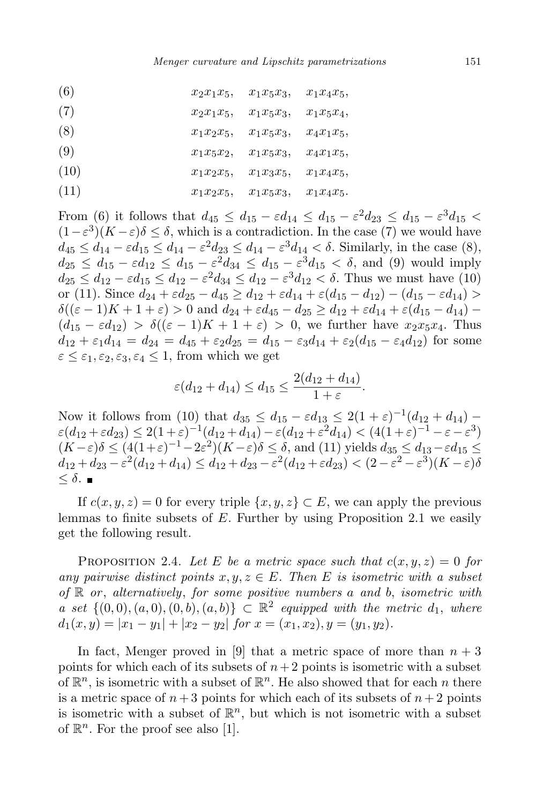| (6)  | $x_2x_1x_5,$ | $x_1x_5x_3,$ | $x_1x_4x_5,$ |
|------|--------------|--------------|--------------|
| (7)  | $x_2x_1x_5,$ | $x_1x_5x_3,$ | $x_1x_5x_4,$ |
| (8)  | $x_1x_2x_5,$ | $x_1x_5x_3,$ | $x_4x_1x_5,$ |
| (9)  | $x_1x_5x_2,$ | $x_1x_5x_3,$ | $x_4x_1x_5,$ |
| (10) | $x_1x_2x_5,$ | $x_1x_3x_5,$ | $x_1x_4x_5,$ |
| (11) | $x_1x_2x_5,$ | $x_1x_5x_3,$ | $x_1x_4x_5.$ |

From (6) it follows that  $d_{45} \leq d_{15} - \varepsilon d_{14} \leq d_{15} - \varepsilon^2 d_{23} \leq d_{15} - \varepsilon^3 d_{15} <$  $(1 - \varepsilon^3)(K - \varepsilon)\delta \leq \delta$ , which is a contradiction. In the case (7) we would have  $d_{45} \leq d_{14} - \varepsilon d_{15} \leq d_{14} - \varepsilon^2 d_{23} \leq d_{14} - \varepsilon^3 d_{14} < \delta$ . Similarly, in the case (8),  $d_{25} \leq d_{15} - \varepsilon d_{12} \leq d_{15} - \varepsilon^2 d_{34} \leq d_{15} - \varepsilon^3 d_{15} < \delta$ , and (9) would imply  $d_{25} \leq d_{12} - \varepsilon d_{15} \leq d_{12} - \varepsilon^2 d_{34} \leq d_{12} - \varepsilon^3 d_{12} < \delta$ . Thus we must have (10) or (11). Since  $d_{24} + \varepsilon d_{25} - d_{45} \geq d_{12} + \varepsilon d_{14} + \varepsilon (d_{15} - d_{12}) - (d_{15} - \varepsilon d_{14}) >$  $\delta((\varepsilon - 1)K + 1 + \varepsilon) > 0$  and  $d_{24} + \varepsilon d_{45} - d_{25} \geq d_{12} + \varepsilon d_{14} + \varepsilon (d_{15} - d_{14}) (d_{15} - \varepsilon d_{12}) > \delta((\varepsilon - 1)K + 1 + \varepsilon) > 0$ , we further have  $x_2x_5x_4$ . Thus  $d_{12} + \varepsilon_1 d_{14} = d_{24} = d_{45} + \varepsilon_2 d_{25} = d_{15} - \varepsilon_3 d_{14} + \varepsilon_2 (d_{15} - \varepsilon_4 d_{12})$  for some  $\varepsilon \leq \varepsilon_1, \varepsilon_2, \varepsilon_3, \varepsilon_4 \leq 1$ , from which we get

$$
\varepsilon(d_{12} + d_{14}) \le d_{15} \le \frac{2(d_{12} + d_{14})}{1 + \varepsilon}.
$$

Now it follows from (10) that  $d_{35} \leq d_{15} - \varepsilon d_{13} \leq 2(1+\varepsilon)^{-1}(d_{12} + d_{14}) \varepsilon(d_{12} + \varepsilon d_{23}) \leq 2(1+\varepsilon)^{-1}(d_{12} + d_{14}) - \varepsilon(d_{12} + \varepsilon^2 d_{14}) < (4(1+\varepsilon)^{-1} - \varepsilon - \varepsilon^3)$  $(K-\varepsilon)\delta \leq (4(1+\varepsilon)^{-1}-2\varepsilon^2)(K-\varepsilon)\delta \leq \delta$ , and (11) yields  $d_{35} \leq d_{13}-\varepsilon d_{15} \leq$  $d_{12} + d_{23} - \varepsilon^2 (d_{12} + d_{14}) \leq d_{12} + d_{23} - \varepsilon^2 (d_{12} + \varepsilon d_{23}) < (2 - \varepsilon^2 - \varepsilon^3)(K - \varepsilon)\delta$  $< \delta$ .  $\blacksquare$ 

If  $c(x, y, z) = 0$  for every triple  $\{x, y, z\} \subset E$ , we can apply the previous lemmas to finite subsets of  $E$ . Further by using Proposition 2.1 we easily get the following result.

PROPOSITION 2.4. Let E be a metric space such that  $c(x, y, z) = 0$  for any pairwise distinct points  $x, y, z \in E$ . Then E is isometric with a subset of  $\mathbb R$  or, alternatively, for some positive numbers a and b, isometric with a set  $\{(0,0), (a, 0), (0, b), (a, b)\}\subset \mathbb{R}^2$  equipped with the metric  $d_1$ , where  $d_1(x,y) = |x_1 - y_1| + |x_2 - y_2|$  for  $x = (x_1, x_2), y = (y_1, y_2).$ 

In fact, Menger proved in [9] that a metric space of more than  $n + 3$ points for which each of its subsets of  $n+2$  points is isometric with a subset of  $\mathbb{R}^n$ , is isometric with a subset of  $\mathbb{R}^n$ . He also showed that for each n there is a metric space of  $n+3$  points for which each of its subsets of  $n+2$  points is isometric with a subset of  $\mathbb{R}^n$ , but which is not isometric with a subset of  $\mathbb{R}^n$ . For the proof see also [1].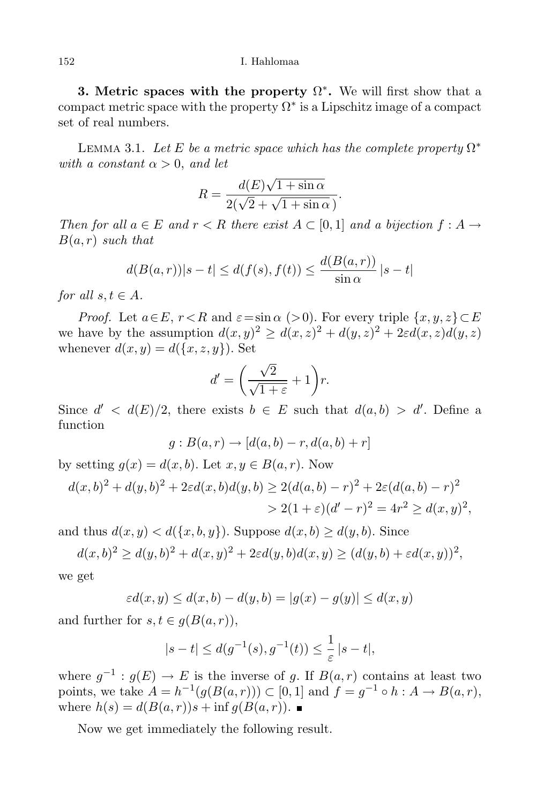## 152 I. Hahlomaa

**3.** Metric spaces with the property  $\Omega^*$ . We will first show that a compact metric space with the property  $\Omega^*$  is a Lipschitz image of a compact set of real numbers.

LEMMA 3.1. Let E be a metric space which has the complete property  $\Omega^*$ with a constant  $\alpha > 0$ , and let

$$
R = \frac{d(E)\sqrt{1 + \sin \alpha}}{2(\sqrt{2} + \sqrt{1 + \sin \alpha})}.
$$

Then for all  $a \in E$  and  $r < R$  there exist  $A \subset [0,1]$  and a bijection  $f : A \rightarrow$  $B(a, r)$  such that

$$
d(B(a,r))|s-t| \leq d(f(s), f(t)) \leq \frac{d(B(a,r))}{\sin \alpha} |s-t|
$$

for all  $s, t \in A$ .

*Proof.* Let  $a \in E$ ,  $r < R$  and  $\varepsilon = \sin \alpha$  (>0). For every triple  $\{x, y, z\} \subset E$ we have by the assumption  $d(x,y)^2 \geq d(x,z)^2 + d(y,z)^2 + 2\varepsilon d(x,z)d(y,z)$ whenever  $d(x, y) = d({x, z, y})$ . Set

$$
d' = \left(\frac{\sqrt{2}}{\sqrt{1+\varepsilon}} + 1\right)r.
$$

Since  $d' < d(E)/2$ , there exists  $b \in E$  such that  $d(a, b) > d'$ . Define a function

$$
g: B(a,r) \to [d(a,b) - r, d(a,b) + r]
$$

by setting  $q(x) = d(x, b)$ . Let  $x, y \in B(a, r)$ . Now

$$
d(x,b)^{2} + d(y,b)^{2} + 2\varepsilon d(x,b)d(y,b) \ge 2(d(a,b) - r)^{2} + 2\varepsilon (d(a,b) - r)^{2}
$$
  
> 2(1 + \varepsilon)(d' - r)^{2} = 4r^{2} \ge d(x,y)^{2},

and thus  $d(x, y) < d({x, b, y})$ . Suppose  $d(x, b) \ge d(y, b)$ . Since

$$
d(x, b)^{2} \ge d(y, b)^{2} + d(x, y)^{2} + 2\varepsilon d(y, b) d(x, y) \ge (d(y, b) + \varepsilon d(x, y))^{2},
$$

we get

$$
\varepsilon d(x,y) \le d(x,b) - d(y,b) = |g(x) - g(y)| \le d(x,y)
$$

and further for  $s, t \in q(B(a, r)),$ 

$$
|s-t| \le d(g^{-1}(s), g^{-1}(t)) \le \frac{1}{\varepsilon} |s-t|,
$$

where  $g^{-1}: g(E) \to E$  is the inverse of g. If  $B(a,r)$  contains at least two points, we take  $A = h^{-1}(g(B(a, r))) \subset [0, 1]$  and  $f = g^{-1} \circ h : A \to B(a, r)$ , where  $h(s) = d(B(a, r))s + \inf q(B(a, r))$ .

Now we get immediately the following result.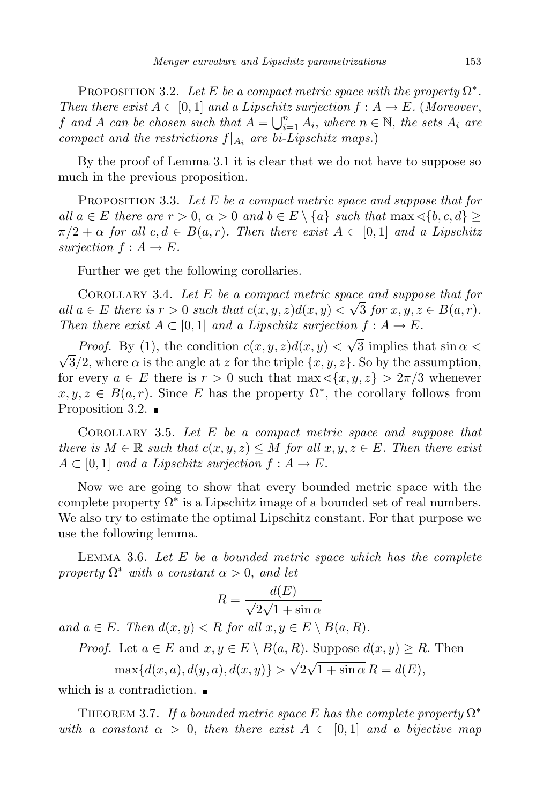PROPOSITION 3.2. Let E be a compact metric space with the property  $\Omega^*$ . Then there exist  $A \subset [0,1]$  and a Lipschitz surjection  $f : A \to E$ . (Moreover, f and A can be chosen such that  $A = \bigcup_{i=1}^{n} A_i$ , where  $n \in \mathbb{N}$ , the sets  $A_i$  are compact and the restrictions  $f|_{A_i}$  are bi-Lipschitz maps.)

By the proof of Lemma 3.1 it is clear that we do not have to suppose so much in the previous proposition.

PROPOSITION 3.3. Let  $E$  be a compact metric space and suppose that for all  $a \in E$  there are  $r > 0$ ,  $\alpha > 0$  and  $b \in E \setminus \{a\}$  such that  $\max \{b, c, d\} > 0$  $\pi/2 + \alpha$  for all  $c, d \in B(a, r)$ . Then there exist  $A \subset [0, 1]$  and a Lipschitz surjection  $f : A \to E$ .

Further we get the following corollaries.

COROLLARY 3.4. Let  $E$  be a compact metric space and suppose that for all  $a \in E$  there is  $r > 0$  such that  $c(x, y, z)d(x, y) < \sqrt{3}$  for  $x, y, z \in B(a, r)$ . Then there exist  $A \subset [0,1]$  and a Lipschitz surjection  $f : A \to E$ .

*Proof.* By (1), the condition  $c(x, y, z)d(x, y) < \sqrt{3}$  implies that  $\sin \alpha <$  $\sqrt{3}/2$ , where  $\alpha$  is the angle at z for the triple  $\{x, y, z\}$ . So by the assumption, for every  $a \in E$  there is  $r > 0$  such that  $\max \{\langle x, y, z \rangle > 2\pi/3 \}$  whenever  $x, y, z \in B(a, r)$ . Since E has the property  $\Omega^*$ , the corollary follows from Proposition 3.2.  $\blacksquare$ 

COROLLARY 3.5. Let  $E$  be a compact metric space and suppose that there is  $M \in \mathbb{R}$  such that  $c(x, y, z) \leq M$  for all  $x, y, z \in E$ . Then there exist  $A \subset [0,1]$  and a Lipschitz surjection  $f : A \to E$ .

Now we are going to show that every bounded metric space with the complete property  $\Omega^*$  is a Lipschitz image of a bounded set of real numbers. We also try to estimate the optimal Lipschitz constant. For that purpose we use the following lemma.

LEMMA 3.6. Let  $E$  be a bounded metric space which has the complete property  $\Omega^*$  with a constant  $\alpha > 0$ , and let

$$
R = \frac{d(E)}{\sqrt{2}\sqrt{1 + \sin \alpha}}
$$

and  $a \in E$ . Then  $d(x, y) < R$  for all  $x, y \in E \setminus B(a, R)$ .

*Proof.* Let  $a \in E$  and  $x, y \in E \setminus B(a, R)$ . Suppose  $d(x, y) \ge R$ . Then

 $\max\{d(x, a), d(y, a), d(x, y)\} > \sqrt{2\sqrt{1 + \sin \alpha}} R = d(E),$ 

which is a contradiction.

THEOREM 3.7. If a bounded metric space E has the complete property  $\Omega^*$ with a constant  $\alpha > 0$ , then there exist  $A \subset [0,1]$  and a bijective map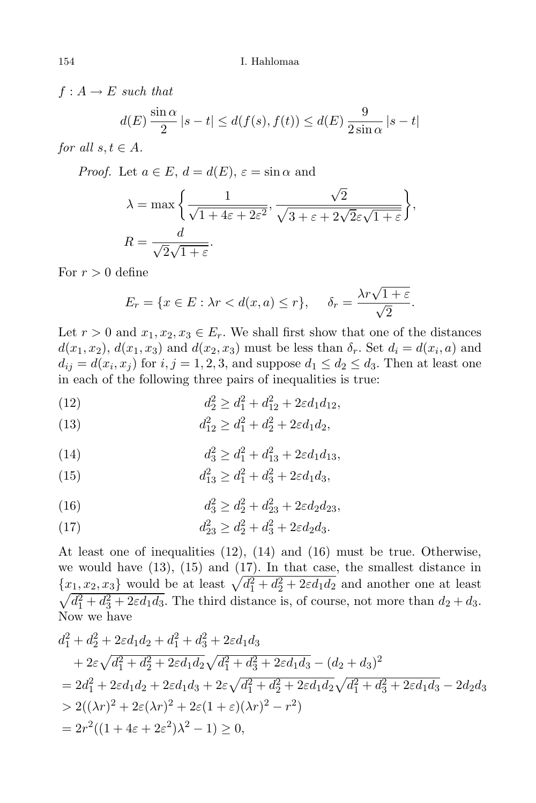$f: A \rightarrow E$  such that

$$
d(E)\frac{\sin\alpha}{2}|s-t| \leq d(f(s), f(t)) \leq d(E)\frac{9}{2\sin\alpha}|s-t|
$$

for all  $s, t \in A$ .

*Proof.* Let  $a \in E$ ,  $d = d(E)$ ,  $\varepsilon = \sin \alpha$  and

$$
\lambda = \max \left\{ \frac{1}{\sqrt{1 + 4\varepsilon + 2\varepsilon^2}}, \frac{\sqrt{2}}{\sqrt{3 + \varepsilon + 2\sqrt{2\varepsilon}\sqrt{1 + \varepsilon}}} \right\},\
$$
  

$$
R = \frac{d}{\sqrt{2}\sqrt{1 + \varepsilon}}.
$$

For  $r > 0$  define

$$
E_r = \{x \in E : \lambda r < d(x, a) \le r\}, \quad \delta_r = \frac{\lambda r \sqrt{1 + \varepsilon}}{\sqrt{2}}.
$$

Let  $r > 0$  and  $x_1, x_2, x_3 \in E_r$ . We shall first show that one of the distances  $d(x_1, x_2)$ ,  $d(x_1, x_3)$  and  $d(x_2, x_3)$  must be less than  $\delta_r$ . Set  $d_i = d(x_i, a)$  and  $d_{ij} = d(x_i, x_j)$  for  $i, j = 1, 2, 3$ , and suppose  $d_1 \leq d_2 \leq d_3$ . Then at least one in each of the following three pairs of inequalities is true:

(12) 
$$
d_2^2 \ge d_1^2 + d_{12}^2 + 2\varepsilon d_1 d_{12},
$$

(13) 
$$
d_{12}^2 \ge d_1^2 + d_2^2 + 2\varepsilon d_1 d_2,
$$

(14) 
$$
d_3^2 \ge d_1^2 + d_{13}^2 + 2\varepsilon d_1 d_{13},
$$

(15) 
$$
d_{13}^2 \ge d_1^2 + d_3^2 + 2\varepsilon d_1 d_3,
$$

(16) 
$$
d_3^2 \ge d_2^2 + d_{23}^2 + 2\varepsilon d_2 d_{23},
$$

(17) 
$$
d_{23}^2 \ge d_2^2 + d_3^2 + 2\varepsilon d_2 d_3.
$$

At least one of inequalities (12), (14) and (16) must be true. Otherwise, we would have (13), (15) and (17). In that case, the smallest distance in  ${x_1, x_2, x_3}$  would be at least  $\sqrt{d_1^2 + d_2^2 + 2\varepsilon d_1 d_2}$  and another one at least  $\sqrt{d_1^2 + d_3^2 + 2\varepsilon d_1 d_3}$ . The third distance is, of course, not more than  $d_2 + d_3$ . Now we have

$$
d_1^2 + d_2^2 + 2\varepsilon d_1 d_2 + d_1^2 + d_3^2 + 2\varepsilon d_1 d_3
$$
  
+  $2\varepsilon \sqrt{d_1^2 + d_2^2 + 2\varepsilon d_1 d_2} \sqrt{d_1^2 + d_3^2 + 2\varepsilon d_1 d_3} - (d_2 + d_3)^2$   
=  $2d_1^2 + 2\varepsilon d_1 d_2 + 2\varepsilon d_1 d_3 + 2\varepsilon \sqrt{d_1^2 + d_2^2 + 2\varepsilon d_1 d_2} \sqrt{d_1^2 + d_3^2 + 2\varepsilon d_1 d_3} - 2d_2 d_3$   
>  $2((\lambda r)^2 + 2\varepsilon (\lambda r)^2 + 2\varepsilon (1 + \varepsilon)(\lambda r)^2 - r^2)$   
=  $2r^2((1 + 4\varepsilon + 2\varepsilon^2)\lambda^2 - 1) \ge 0$ ,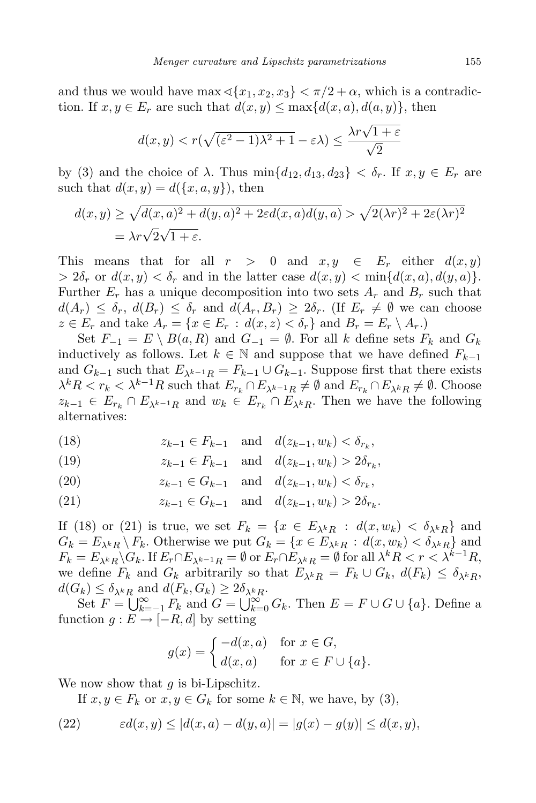and thus we would have max  $\langle \{x_1, x_2, x_3\} \rangle \langle \pi/2 + \alpha$ , which is a contradiction. If  $x, y \in E_r$  are such that  $d(x, y) \leq \max\{d(x, a), d(a, y)\}\$ , then

$$
d(x,y) < r(\sqrt{(\varepsilon^2-1)\lambda^2+1} - \varepsilon \lambda) \leq \frac{\lambda r \sqrt{1+\varepsilon}}{\sqrt{2}}
$$

by (3) and the choice of  $\lambda$ . Thus  $\min\{d_{12}, d_{13}, d_{23}\} < \delta_r$ . If  $x, y \in E_r$  are such that  $d(x, y) = d({x, a, y})$ , then

$$
d(x,y) \ge \sqrt{d(x,a)^2 + d(y,a)^2 + 2\varepsilon d(x,a)d(y,a)} > \sqrt{2(\lambda r)^2 + 2\varepsilon(\lambda r)^2}
$$
  
=  $\lambda r\sqrt{2}\sqrt{1+\varepsilon}$ .

This means that for all  $r > 0$  and  $x, y \in E_r$  either  $d(x, y)$  $> 2\delta_r$  or  $d(x, y) < \delta_r$  and in the latter case  $d(x, y) < \min\{d(x, a), d(y, a)\}.$ Further  $E_r$  has a unique decomposition into two sets  $A_r$  and  $B_r$  such that  $d(A_r) \leq \delta_r$ ,  $d(B_r) \leq \delta_r$  and  $d(A_r, B_r) \geq 2\delta_r$ . (If  $E_r \neq \emptyset$  we can choose  $z \in E_r$  and take  $A_r = \{x \in E_r : d(x, z) < \delta_r\}$  and  $B_r = E_r \setminus A_r$ .

Set  $F_{-1} = E \setminus B(a, R)$  and  $G_{-1} = \emptyset$ . For all k define sets  $F_k$  and  $G_k$ inductively as follows. Let  $k \in \mathbb{N}$  and suppose that we have defined  $F_{k-1}$ and  $G_{k-1}$  such that  $E_{\lambda^{k-1}R} = F_{k-1} \cup G_{k-1}$ . Suppose first that there exists  $\lambda^k R < r_k < \lambda^{k-1} R$  such that  $E_{r_k} \cap E_{\lambda^{k-1} R} \neq \emptyset$  and  $E_{r_k} \cap E_{\lambda^k R} \neq \emptyset$ . Choose  $z_{k-1} \in E_{r_k} \cap E_{\lambda^{k-1}R}$  and  $w_k \in E_{r_k} \cap E_{\lambda^kR}$ . Then we have the following alternatives:

(18) 
$$
z_{k-1} \in F_{k-1}
$$
 and  $d(z_{k-1}, w_k) < \delta_{r_k}$ ,

(19) 
$$
z_{k-1} \in F_{k-1}
$$
 and  $d(z_{k-1}, w_k) > 2\delta_{r_k}$ ,

(20) 
$$
z_{k-1} \in G_{k-1}
$$
 and  $d(z_{k-1}, w_k) < \delta_{r_k}$ ,

(21) 
$$
z_{k-1} \in G_{k-1}
$$
 and  $d(z_{k-1}, w_k) > 2\delta_{r_k}$ .

If (18) or (21) is true, we set  $F_k = \{x \in E_{\lambda^k R} : d(x, w_k) < \delta_{\lambda^k R}\}\$ and  $G_k = E_{\lambda^k R} \backslash F_k$ . Otherwise we put  $G_k = \{x \in E_{\lambda^k R} : d(x, w_k) < \delta_{\lambda^k R}\}\$ and  $F_k = E_{\lambda^k R} \backslash G_k$ . If  $E_r \cap E_{\lambda^{k-1}R} = \emptyset$  or  $E_r \cap E_{\lambda^k R} = \emptyset$  for all  $\lambda^k R < r < \lambda^{k-1} R$ , we define  $F_k$  and  $G_k$  arbitrarily so that  $E_{\lambda^k R} = F_k \cup G_k$ ,  $d(F_k) \leq \delta_{\lambda^k R}$ ,  $d(G_k) \leq \delta_{\lambda^k R}$  and  $d(F_k, G_k) \geq 2\delta_{\lambda^k R}$ .

Set  $F = \bigcup_{k=-1}^{\infty} F_k$  and  $G = \bigcup_{k=0}^{\infty} G_k$ . Then  $E = F \cup G \cup \{a\}$ . Define a function  $g : E \to [-R, d]$  by setting

$$
g(x) = \begin{cases} -d(x,a) & \text{for } x \in G, \\ d(x,a) & \text{for } x \in F \cup \{a\}. \end{cases}
$$

We now show that  $q$  is bi-Lipschitz.

If  $x, y \in F_k$  or  $x, y \in G_k$  for some  $k \in \mathbb{N}$ , we have, by (3),

(22) 
$$
\varepsilon d(x,y) \le |d(x,a) - d(y,a)| = |g(x) - g(y)| \le d(x,y),
$$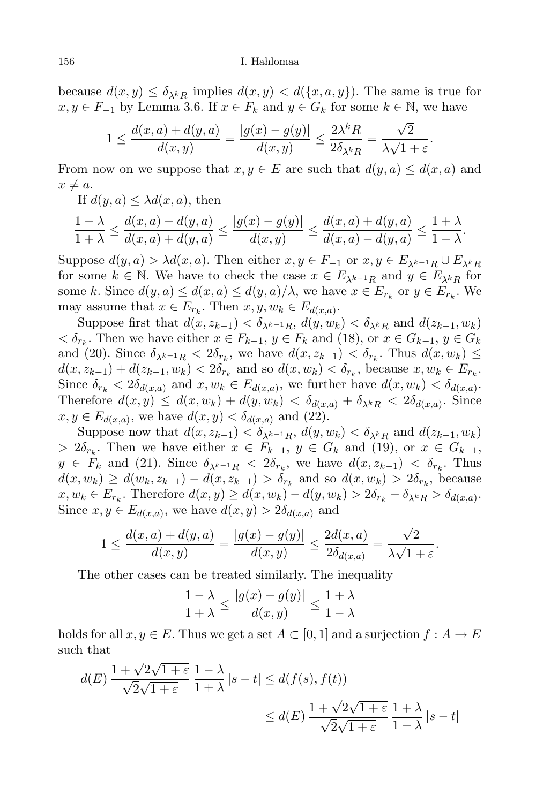because  $d(x, y) \leq \delta_{\lambda^k R}$  implies  $d(x, y) < d({x, a, y})$ . The same is true for  $x, y \in F_{-1}$  by Lemma 3.6. If  $x \in F_k$  and  $y \in G_k$  for some  $k \in \mathbb{N}$ , we have

$$
1 \le \frac{d(x,a) + d(y,a)}{d(x,y)} = \frac{|g(x) - g(y)|}{d(x,y)} \le \frac{2\lambda^k R}{2\delta_{\lambda^k R}} = \frac{\sqrt{2}}{\lambda\sqrt{1+\varepsilon}}.
$$

From now on we suppose that  $x, y \in E$  are such that  $d(y, a) \leq d(x, a)$  and  $x \neq a$ .

If  $d(y, a) \leq \lambda d(x, a)$ , then

$$
\frac{1-\lambda}{1+\lambda} \le \frac{d(x,a)-d(y,a)}{d(x,a)+d(y,a)} \le \frac{|g(x)-g(y)|}{d(x,y)} \le \frac{d(x,a)+d(y,a)}{d(x,a)-d(y,a)} \le \frac{1+\lambda}{1-\lambda}.
$$

Suppose  $d(y, a) > \lambda d(x, a)$ . Then either  $x, y \in F_{-1}$  or  $x, y \in E_{\lambda^{k-1}R} \cup E_{\lambda^kR}$ for some  $k \in \mathbb{N}$ . We have to check the case  $x \in E_{\lambda^{k-1}R}$  and  $y \in E_{\lambda^kR}$  for some k. Since  $d(y, a) \leq d(x, a) \leq d(y, a) / \lambda$ , we have  $x \in E_{r_k}$  or  $y \in E_{r_k}$ . We may assume that  $x \in E_{r_k}$ . Then  $x, y, w_k \in E_{d(x,a)}$ .

Suppose first that  $d(x, z_{k-1}) < \delta_{\lambda^{k-1}R}$ ,  $d(y, w_k) < \delta_{\lambda^kR}$  and  $d(z_{k-1}, w_k)$  $<\delta_{r_k}$ . Then we have either  $x \in F_{k-1}$ ,  $y \in F_k$  and (18), or  $x \in G_{k-1}$ ,  $y \in G_k$ and (20). Since  $\delta_{\lambda^{k-1}R} < 2\delta_{r_k}$ , we have  $d(x, z_{k-1}) < \delta_{r_k}$ . Thus  $d(x, w_k) \le$  $d(x, z_{k-1}) + d(z_{k-1}, w_k) < 2\delta_{r_k}$  and so  $d(x, w_k) < \delta_{r_k}$ , because  $x, w_k \in E_{r_k}$ . Since  $\delta_{r_k} < 2\delta_{d(x,a)}$  and  $x, w_k \in E_{d(x,a)}$ , we further have  $d(x, w_k) < \delta_{d(x,a)}$ . Therefore  $d(x, y) \leq d(x, w_k) + d(y, w_k) < \delta_{d(x, a)} + \delta_{\lambda^k R} < 2\delta_{d(x, a)}$ . Since  $x, y \in E_{d(x,a)},$  we have  $d(x, y) < \delta_{d(x,a)}$  and (22).

Suppose now that  $d(x, z_{k-1}) < \delta_{\lambda^{k-1}R}$ ,  $d(y, w_k) < \delta_{\lambda^kR}$  and  $d(z_{k-1}, w_k)$  $> 2\delta_{r_k}$ . Then we have either  $x \in F_{k-1}$ ,  $y \in G_k$  and (19), or  $x \in G_{k-1}$ ,  $y \in F_k$  and (21). Since  $\delta_{\lambda^{k-1}R} < 2\delta_{r_k}$ , we have  $d(x, z_{k-1}) < \delta_{r_k}$ . Thus  $d(x, w_k) \ge d(w_k, z_{k-1}) - d(x, z_{k-1}) > \delta_{r_k}$  and so  $d(x, w_k) > 2\delta_{r_k}$ , because  $x, w_k \in E_{r_k}$ . Therefore  $d(x, y) \ge d(x, w_k) - d(y, w_k) > 2\delta_{r_k} - \delta_{\lambda^k R} > \delta_{d(x, a)}$ . Since  $x, y \in E_{d(x,a)}$ , we have  $d(x, y) > 2\delta_{d(x,a)}$  and

$$
1 \le \frac{d(x,a) + d(y,a)}{d(x,y)} = \frac{|g(x) - g(y)|}{d(x,y)} \le \frac{2d(x,a)}{2\delta_{d(x,a)}} = \frac{\sqrt{2}}{\lambda\sqrt{1+\varepsilon}}.
$$

The other cases can be treated similarly. The inequality

$$
\frac{1-\lambda}{1+\lambda} \le \frac{|g(x)-g(y)|}{d(x,y)} \le \frac{1+\lambda}{1-\lambda}
$$

holds for all  $x, y \in E$ . Thus we get a set  $A \subset [0, 1]$  and a surjection  $f : A \to E$ such that

$$
d(E) \frac{1 + \sqrt{2}\sqrt{1+\varepsilon}}{\sqrt{2}\sqrt{1+\varepsilon}} \frac{1-\lambda}{1+\lambda} |s-t| \le d(f(s), f(t))
$$
  

$$
\le d(E) \frac{1 + \sqrt{2}\sqrt{1+\varepsilon}}{\sqrt{2}\sqrt{1+\varepsilon}} \frac{1+\lambda}{1-\lambda} |s-t|
$$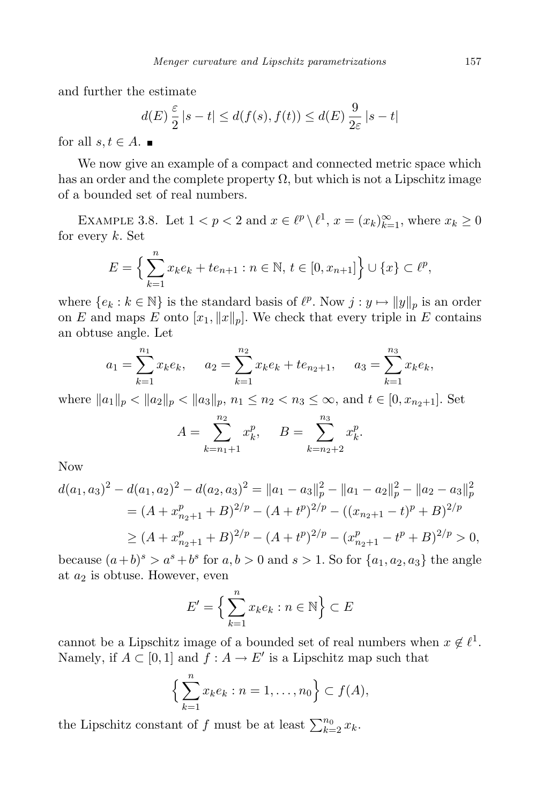and further the estimate

$$
d(E)\frac{\varepsilon}{2}|s-t| \le d(f(s), f(t)) \le d(E)\frac{9}{2\varepsilon}|s-t|
$$

for all  $s,t \in A$ .

We now give an example of a compact and connected metric space which has an order and the complete property  $\Omega$ , but which is not a Lipschitz image of a bounded set of real numbers.

EXAMPLE 3.8. Let  $1 < p < 2$  and  $x \in \ell^p \setminus \ell^1$ ,  $x = (x_k)_{k=1}^{\infty}$ , where  $x_k \ge 0$ for every  $k$ . Set

$$
E = \left\{ \sum_{k=1}^{n} x_k e_k + t e_{n+1} : n \in \mathbb{N}, t \in [0, x_{n+1}] \right\} \cup \{x\} \subset \ell^p,
$$

where  $\{e_k : k \in \mathbb{N}\}\$ is the standard basis of  $\ell^p$ . Now  $j : y \mapsto ||y||_p$  is an order on E and maps E onto  $[x_1, \|x\|_p]$ . We check that every triple in E contains an obtuse angle. Let

$$
a_1 = \sum_{k=1}^{n_1} x_k e_k, \quad a_2 = \sum_{k=1}^{n_2} x_k e_k + t e_{n_2+1}, \quad a_3 = \sum_{k=1}^{n_3} x_k e_k,
$$

where  $||a_1||_p < ||a_2||_p < ||a_3||_p$ ,  $n_1 \le n_2 < n_3 \le \infty$ , and  $t \in [0, x_{n_2+1}]$ . Set

$$
A = \sum_{k=n_1+1}^{n_2} x_k^p, \quad B = \sum_{k=n_2+2}^{n_3} x_k^p.
$$

Now

$$
d(a_1, a_3)^2 - d(a_1, a_2)^2 - d(a_2, a_3)^2 = ||a_1 - a_3||_p^2 - ||a_1 - a_2||_p^2 - ||a_2 - a_3||_p^2
$$
  
= 
$$
(A + x_{n_2+1}^p + B)^{2/p} - (A + t^p)^{2/p} - ((x_{n_2+1} - t)^p + B)^{2/p}
$$
  

$$
\ge (A + x_{n_2+1}^p + B)^{2/p} - (A + t^p)^{2/p} - (x_{n_2+1}^p - t^p + B)^{2/p} > 0,
$$

because  $(a+b)^s > a^s + b^s$  for  $a, b > 0$  and  $s > 1$ . So for  $\{a_1, a_2, a_3\}$  the angle at  $a_2$  is obtuse. However, even

$$
E' = \left\{ \sum_{k=1}^{n} x_k e_k : n \in \mathbb{N} \right\} \subset E
$$

cannot be a Lipschitz image of a bounded set of real numbers when  $x \notin \ell^1$ . Namely, if  $A \subset [0,1]$  and  $f : A \to E'$  is a Lipschitz map such that

$$
\left\{\sum_{k=1}^n x_k e_k : n = 1, \dots, n_0\right\} \subset f(A),
$$

the Lipschitz constant of f must be at least  $\sum_{k=2}^{n_0} x_k$ .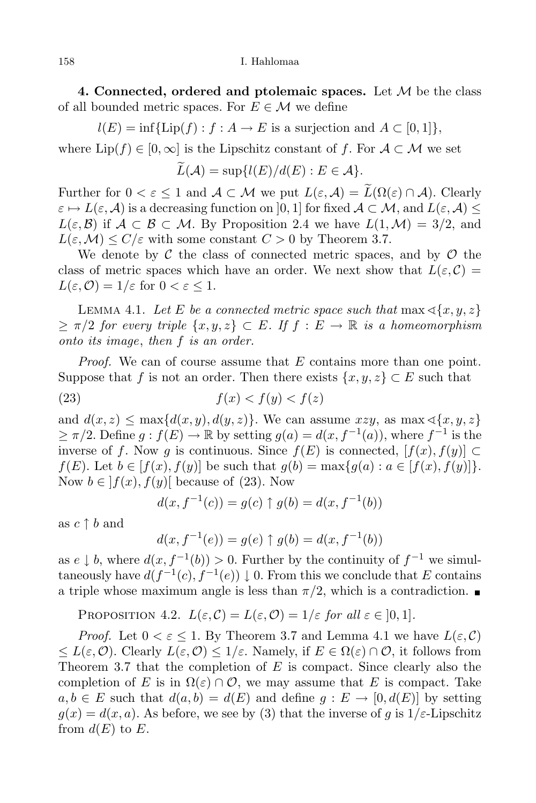4. Connected, ordered and ptolemaic spaces. Let  $M$  be the class of all bounded metric spaces. For  $E \in \mathcal{M}$  we define

 $l(E) = \inf \{ \text{Lip}(f) : f : A \to E \text{ is a surjection and } A \subset [0,1] \},\$ 

where  $\text{Lip}(f) \in [0,\infty]$  is the Lipschitz constant of f. For  $\mathcal{A} \subset \mathcal{M}$  we set

$$
L(\mathcal{A}) = \sup\{l(E)/d(E) : E \in \mathcal{A}\}.
$$

Further for  $0 < \varepsilon \leq 1$  and  $\mathcal{A} \subset \mathcal{M}$  we put  $L(\varepsilon, \mathcal{A}) = \widetilde{L}(\Omega(\varepsilon) \cap \mathcal{A})$ . Clearly  $\varepsilon \mapsto L(\varepsilon, \mathcal{A})$  is a decreasing function on  $[0, 1]$  for fixed  $\mathcal{A} \subset \mathcal{M}$ , and  $L(\varepsilon, \mathcal{A}) \leq$  $L(\varepsilon, \mathcal{B})$  if  $\mathcal{A} \subset \mathcal{B} \subset \mathcal{M}$ . By Proposition 2.4 we have  $L(1, \mathcal{M}) = 3/2$ , and  $L(\varepsilon, \mathcal{M}) \le C/\varepsilon$  with some constant  $C > 0$  by Theorem 3.7.

We denote by  $\mathcal C$  the class of connected metric spaces, and by  $\mathcal O$  the class of metric spaces which have an order. We next show that  $L(\varepsilon, \mathcal{C}) =$  $L(\varepsilon, \mathcal{O}) = 1/\varepsilon$  for  $0 < \varepsilon \leq 1$ .

LEMMA 4.1. Let E be a connected metric space such that  $\max \{\{x, y, z\}$  $\geq \pi/2$  for every triple  $\{x, y, z\} \subset E$ . If  $f : E \to \mathbb{R}$  is a homeomorphism onto its image, then f is an order.

Proof. We can of course assume that E contains more than one point. Suppose that f is not an order. Then there exists  $\{x, y, z\} \subset E$  such that

$$
(23) \t\t f(x) < f(y) < f(z)
$$

and  $d(x, z) \le \max\{d(x, y), d(y, z)\}\.$  We can assume  $xzy$ , as  $\max\{x, y, z\}$  $\geq \pi/2$ . Define  $g: f(E) \to \mathbb{R}$  by setting  $g(a) = d(x, f^{-1}(a))$ , where  $f^{-1}$  is the inverse of f. Now g is continuous. Since  $f(E)$  is connected,  $[f(x), f(y)] \subset$  $f(E)$ . Let  $b \in [f(x), f(y)]$  be such that  $g(b) = \max\{g(a) : a \in [f(x), f(y)]\}.$ Now  $b \in |f(x), f(y)|$  because of (23). Now

$$
d(x, f^{-1}(c)) = g(c) \uparrow g(b) = d(x, f^{-1}(b))
$$

as  $c \uparrow b$  and

$$
d(x, f^{-1}(e)) = g(e) \uparrow g(b) = d(x, f^{-1}(b))
$$

as  $e \downarrow b$ , where  $d(x, f^{-1}(b)) > 0$ . Further by the continuity of  $f^{-1}$  we simultaneously have  $d(f^{-1}(c), f^{-1}(e)) \downarrow 0$ . From this we conclude that E contains a triple whose maximum angle is less than  $\pi/2$ , which is a contradiction.

PROPOSITION 4.2.  $L(\varepsilon, C) = L(\varepsilon, C) = 1/\varepsilon$  for all  $\varepsilon \in [0, 1]$ .

*Proof.* Let  $0 < \varepsilon \leq 1$ . By Theorem 3.7 and Lemma 4.1 we have  $L(\varepsilon, C)$  $\leq L(\varepsilon, \mathcal{O})$ . Clearly  $L(\varepsilon, \mathcal{O}) \leq 1/\varepsilon$ . Namely, if  $E \in \Omega(\varepsilon) \cap \mathcal{O}$ , it follows from Theorem 3.7 that the completion of  $E$  is compact. Since clearly also the completion of E is in  $\Omega(\varepsilon) \cap \mathcal{O}$ , we may assume that E is compact. Take  $a, b \in E$  such that  $d(a, b) = d(E)$  and define  $g : E \to [0, d(E)]$  by setting  $g(x) = d(x, a)$ . As before, we see by (3) that the inverse of g is  $1/\varepsilon$ -Lipschitz from  $d(E)$  to E.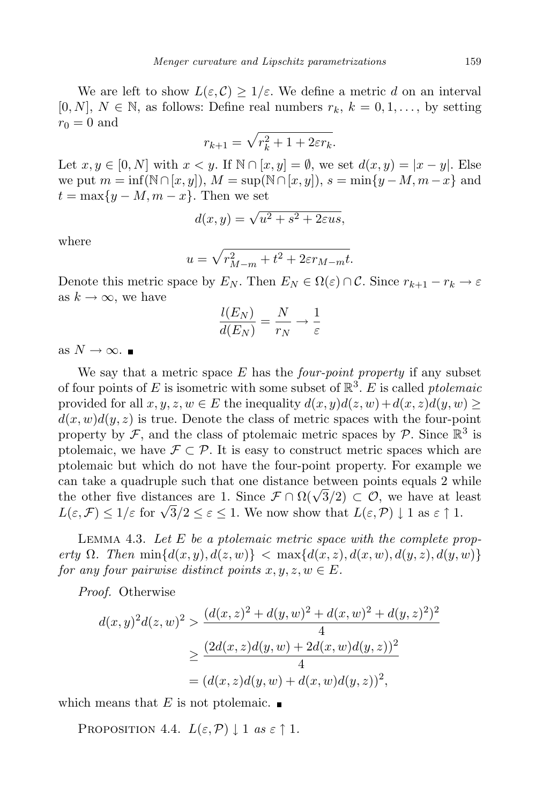We are left to show  $L(\varepsilon,\mathcal{C}) \geq 1/\varepsilon$ . We define a metric d on an interval [0, N],  $N \in \mathbb{N}$ , as follows: Define real numbers  $r_k$ ,  $k = 0, 1, \ldots$ , by setting  $r_0 = 0$  and

$$
r_{k+1} = \sqrt{r_k^2 + 1 + 2\varepsilon r_k}.
$$

Let  $x, y \in [0, N]$  with  $x < y$ . If  $\mathbb{N} \cap [x, y] = \emptyset$ , we set  $d(x, y) = |x - y|$ . Else we put  $m = \inf(\mathbb{N} \cap [x, y]), M = \sup(\mathbb{N} \cap [x, y]), s = \min\{y - M, m - x\}$  and  $t = \max\{y - M, m - x\}$ . Then we set

$$
d(x,y) = \sqrt{u^2 + s^2 + 2\varepsilon u s},
$$

where

$$
u = \sqrt{r_{M-m}^2 + t^2 + 2\varepsilon r_{M-m}t}.
$$

Denote this metric space by  $E_N$ . Then  $E_N \in \Omega(\varepsilon) \cap C$ . Since  $r_{k+1} - r_k \to \varepsilon$ as  $k \to \infty$ , we have

$$
\frac{l(E_N)}{d(E_N)} = \frac{N}{r_N} \to \frac{1}{\varepsilon}
$$

as  $N \to \infty$ . ■

We say that a metric space  $E$  has the *four-point property* if any subset of four points of E is isometric with some subset of  $\mathbb{R}^3$ . E is called *ptolemaic* provided for all  $x, y, z, w \in E$  the inequality  $d(x, y)d(z, w)+d(x, z)d(y, w) \geq$  $d(x, w)d(y, z)$  is true. Denote the class of metric spaces with the four-point property by  $\mathcal{F}$ , and the class of ptolemaic metric spaces by  $\mathcal{P}$ . Since  $\mathbb{R}^3$  is ptolemaic, we have  $\mathcal{F} \subset \mathcal{P}$ . It is easy to construct metric spaces which are ptolemaic but which do not have the four-point property. For example we can take a quadruple such that one distance between points equals 2 while the other five distances are 1. Since  $\mathcal{F} \cap \Omega(\sqrt{3}/2) \subset \mathcal{O}$ , we have at least  $L(\varepsilon, \mathcal{F}) \leq 1/\varepsilon$  for  $\sqrt{3}/2 \leq \varepsilon \leq 1$ . We now show that  $L(\varepsilon, \mathcal{P}) \downarrow 1$  as  $\varepsilon \uparrow 1$ .

LEMMA 4.3. Let  $E$  be a ptolemaic metric space with the complete property  $\Omega$ . Then  $\min\{d(x,y), d(z,w)\} < \max\{d(x,z), d(x,w), d(y,z), d(y,w)\}$ for any four pairwise distinct points  $x, y, z, w \in E$ .

Proof. Otherwise

$$
d(x,y)^{2}d(z,w)^{2} > \frac{(d(x,z)^{2} + d(y,w)^{2} + d(x,w)^{2} + d(y,z)^{2})^{2}}{4}
$$
  
 
$$
\geq \frac{(2d(x,z)d(y,w) + 2d(x,w)d(y,z))^{2}}{4}
$$
  
=  $(d(x,z)d(y,w) + d(x,w)d(y,z))^{2},$ 

which means that E is not ptolemaic.  $\blacksquare$ 

PROPOSITION 4.4.  $L(\varepsilon, \mathcal{P}) \downarrow 1$  as  $\varepsilon \uparrow 1$ .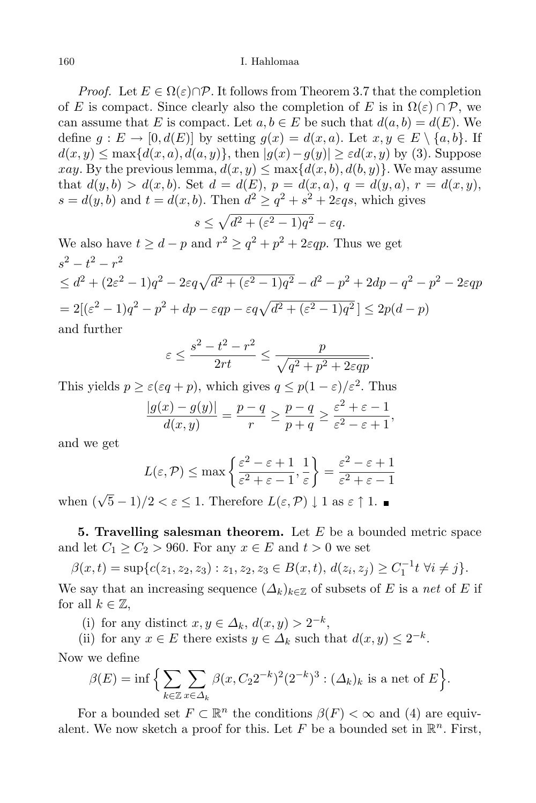## 160 I. Hahlomaa

*Proof.* Let  $E \in \Omega(\varepsilon) \cap \mathcal{P}$ . It follows from Theorem 3.7 that the completion of E is compact. Since clearly also the completion of E is in  $\Omega(\varepsilon) \cap \mathcal{P}$ , we can assume that E is compact. Let  $a, b \in E$  be such that  $d(a, b) = d(E)$ . We define  $g: E \to [0, d(E)]$  by setting  $g(x) = d(x, a)$ . Let  $x, y \in E \setminus \{a, b\}$ . If  $d(x, y) \le \max\{d(x, a), d(a, y)\}\$ , then  $|g(x)-g(y)| \ge \varepsilon d(x, y)$  by (3). Suppose xay. By the previous lemma,  $d(x, y) \leq \max\{d(x, b), d(b, y)\}\.$  We may assume that  $d(y, b) > d(x, b)$ . Set  $d = d(E)$ ,  $p = d(x, a)$ ,  $q = d(y, a)$ ,  $r = d(x, y)$ ,  $s = d(y, b)$  and  $t = d(x, b)$ . Then  $d^2 \geq q^2 + s^2 + 2\varepsilon qs$ , which gives

$$
s \le \sqrt{d^2 + (\varepsilon^2 - 1)q^2} - \varepsilon q.
$$

We also have  $t \geq d - p$  and  $r^2 \geq q^2 + p^2 + 2\varepsilon q p$ . Thus we get  $s^2 - t^2 - r^2$  $\leq d^2 + (2\varepsilon^2 - 1)q^2 - 2\varepsilon q\sqrt{d^2 + (\varepsilon^2 - 1)q^2} - d^2 - p^2 + 2dp - q^2 - p^2 - 2\varepsilon qp$  $= 2[(\varepsilon^2 - 1)q^2 - p^2 + dp - \varepsilon q p - \varepsilon q \sqrt{d^2 + (\varepsilon^2 - 1)q^2}] \leq 2p(d - p)$ and further

$$
\varepsilon \le \frac{s^2 - t^2 - r^2}{2rt} \le \frac{p}{\sqrt{q^2 + p^2 + 2\varepsilon q p}}.
$$

This yields  $p \geq \varepsilon(\varepsilon q + p)$ , which gives  $q \leq p(1 - \varepsilon)/\varepsilon^2$ . Thus

$$
\frac{|g(x)-g(y)|}{d(x,y)} = \frac{p-q}{r} \ge \frac{p-q}{p+q} \ge \frac{\varepsilon^2 + \varepsilon - 1}{\varepsilon^2 - \varepsilon + 1},
$$

and we get

$$
L(\varepsilon, \mathcal{P}) \le \max\left\{\frac{\varepsilon^2 - \varepsilon + 1}{\varepsilon^2 + \varepsilon - 1}, \frac{1}{\varepsilon}\right\} = \frac{\varepsilon^2 - \varepsilon + 1}{\varepsilon^2 + \varepsilon - 1}
$$

when  $(\sqrt{5}-1)/2 < \varepsilon \leq 1$ . Therefore  $L(\varepsilon, \mathcal{P}) \downarrow 1$  as  $\varepsilon \uparrow 1$ .

**5. Travelling salesman theorem.** Let  $E$  be a bounded metric space and let  $C_1 \ge C_2 > 960$ . For any  $x \in E$  and  $t > 0$  we set

 $\beta(x,t) = \sup\{c(z_1, z_2, z_3) : z_1, z_2, z_3 \in B(x,t), d(z_i, z_j) \ge C_1^{-1}t \; \forall i \ne j\}.$ 

We say that an increasing sequence  $(\Delta_k)_{k\in\mathbb{Z}}$  of subsets of E is a net of E if for all  $k \in \mathbb{Z}$ ,

(i) for any distinct  $x, y \in \Delta_k$ ,  $d(x, y) > 2^{-k}$ ,

(ii) for any  $x \in E$  there exists  $y \in \Delta_k$  such that  $d(x, y) \leq 2^{-k}$ . Now we define

$$
\beta(E) = \inf \Big\{ \sum_{k \in \mathbb{Z}} \sum_{x \in \Delta_k} \beta(x, C_2 2^{-k})^2 (2^{-k})^3 : (\Delta_k)_k \text{ is a net of } E \Big\}.
$$

For a bounded set  $F \subset \mathbb{R}^n$  the conditions  $\beta(F) < \infty$  and (4) are equivalent. We now sketch a proof for this. Let F be a bounded set in  $\mathbb{R}^n$ . First,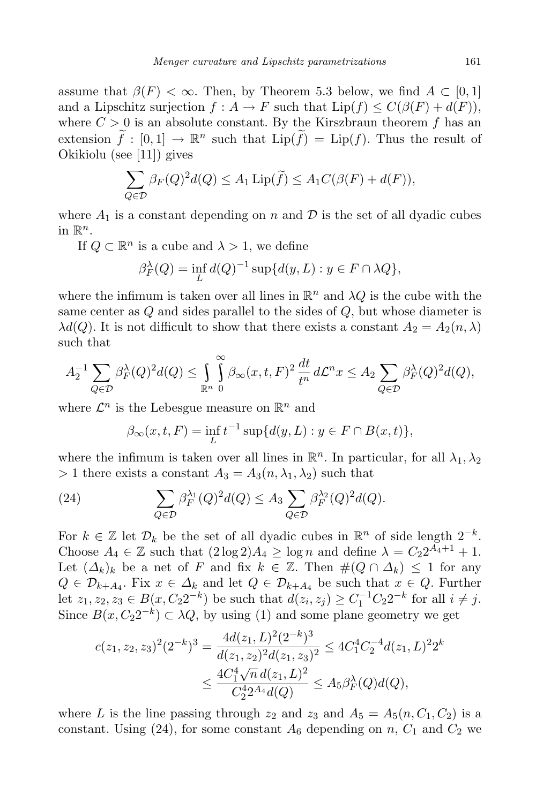assume that  $\beta(F) < \infty$ . Then, by Theorem 5.3 below, we find  $A \subset [0,1]$ and a Lipschitz surjection  $f : A \to F$  such that  $\text{Lip}(f) \leq C(\beta(F) + d(F)),$ where  $C > 0$  is an absolute constant. By the Kirszbraun theorem f has an extension  $f : [0,1] \to \mathbb{R}^n$  such that  $\text{Lip}(f) = \text{Lip}(f)$ . Thus the result of Okikiolu (see [11]) gives

$$
\sum_{Q \in \mathcal{D}} \beta_F(Q)^2 d(Q) \le A_1 \operatorname{Lip}(\widetilde{f}) \le A_1 C(\beta(F) + d(F)),
$$

where  $A_1$  is a constant depending on n and  $\mathcal D$  is the set of all dyadic cubes in  $\mathbb{R}^n$ .

If  $Q \subset \mathbb{R}^n$  is a cube and  $\lambda > 1$ , we define

$$
\beta_F^{\lambda}(Q) = \inf_L d(Q)^{-1} \sup \{ d(y, L) : y \in F \cap \lambda Q \},
$$

where the infimum is taken over all lines in  $\mathbb{R}^n$  and  $\lambda Q$  is the cube with the same center as  $Q$  and sides parallel to the sides of  $Q$ , but whose diameter is  $\lambda d(Q)$ . It is not difficult to show that there exists a constant  $A_2 = A_2(n, \lambda)$ such that

$$
A_2^{-1} \sum_{Q \in \mathcal{D}} \beta_F^{\lambda}(Q)^2 d(Q) \le \int_{\mathbb{R}^n} \int_{0}^{\infty} \beta_{\infty}(x, t, F)^2 \frac{dt}{t^n} d\mathcal{L}^n x \le A_2 \sum_{Q \in \mathcal{D}} \beta_F^{\lambda}(Q)^2 d(Q),
$$

where  $\mathcal{L}^n$  is the Lebesgue measure on  $\mathbb{R}^n$  and

 $\beta_{\infty}(x, t, F) = \inf_{L} t^{-1} \sup \{ d(y, L) : y \in F \cap B(x, t) \},$ 

where the infimum is taken over all lines in  $\mathbb{R}^n$ . In particular, for all  $\lambda_1, \lambda_2$  $> 1$  there exists a constant  $A_3 = A_3(n, \lambda_1, \lambda_2)$  such that

(24) 
$$
\sum_{Q \in \mathcal{D}} \beta_F^{\lambda_1}(Q)^2 d(Q) \leq A_3 \sum_{Q \in \mathcal{D}} \beta_F^{\lambda_2}(Q)^2 d(Q).
$$

For  $k \in \mathbb{Z}$  let  $\mathcal{D}_k$  be the set of all dyadic cubes in  $\mathbb{R}^n$  of side length  $2^{-k}$ . Choose  $A_4 \in \mathbb{Z}$  such that  $(2 \log 2)A_4 \ge \log n$  and define  $\lambda = C_2 2^{A_4+1} + 1$ . Let  $(\Delta_k)_k$  be a net of F and fix  $k \in \mathbb{Z}$ . Then  $\#(Q \cap \Delta_k) \leq 1$  for any  $Q \in \mathcal{D}_{k+A_4}$ . Fix  $x \in \Delta_k$  and let  $Q \in \mathcal{D}_{k+A_4}$  be such that  $x \in Q$ . Further let  $z_1, z_2, z_3 \in B(x, C_2 2^{-k})$  be such that  $d(z_i, z_j) \ge C_1^{-1} C_2 2^{-k}$  for all  $i \ne j$ . Since  $B(x, C_2 2^{-k}) \subset \lambda Q$ , by using (1) and some plane geometry we get

$$
c(z_1, z_2, z_3)^2 (2^{-k})^3 = \frac{4d(z_1, L)^2 (2^{-k})^3}{d(z_1, z_2)^2 d(z_1, z_3)^2} \le 4C_1^4 C_2^{-4} d(z_1, L)^2 2^k
$$
  

$$
\le \frac{4C_1^4 \sqrt{n} d(z_1, L)^2}{C_2^4 2^{A_4} d(Q)} \le A_5 \beta_F^{\lambda}(Q) d(Q),
$$

where L is the line passing through  $z_2$  and  $z_3$  and  $A_5 = A_5(n, C_1, C_2)$  is a constant. Using (24), for some constant  $A_6$  depending on n,  $C_1$  and  $C_2$  we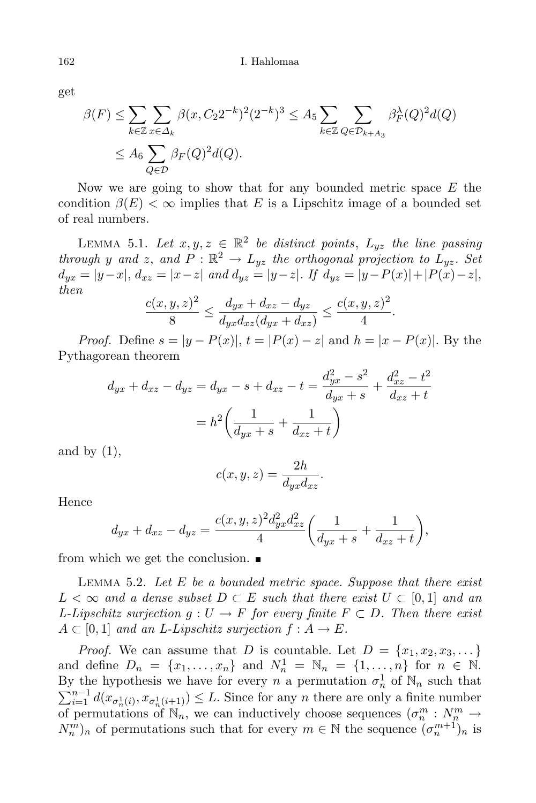get

$$
\beta(F) \le \sum_{k \in \mathbb{Z}} \sum_{x \in \Delta_k} \beta(x, C_2 2^{-k})^2 (2^{-k})^3 \le A_5 \sum_{k \in \mathbb{Z}} \sum_{Q \in \mathcal{D}_{k+A_3}} \beta_F^{\lambda}(Q)^2 d(Q)
$$
  

$$
\le A_6 \sum_{Q \in \mathcal{D}} \beta_F(Q)^2 d(Q).
$$

Now we are going to show that for any bounded metric space  $E$  the condition  $\beta(E) < \infty$  implies that E is a Lipschitz image of a bounded set of real numbers.

LEMMA 5.1. Let  $x, y, z \in \mathbb{R}^2$  be distinct points,  $L_{yz}$  the line passing through y and z, and  $P : \mathbb{R}^2 \to L_{yz}$  the orthogonal projection to  $L_{yz}$ . Set  $d_{yx} = |y-x|, d_{xz} = |x-z|$  and  $d_{yz} = |y-z|$ . If  $d_{yz} = |y-P(x)|+|P(x)-z|$ , then

$$
\frac{c(x,y,z)^2}{8} \le \frac{d_{yx} + d_{xz} - d_{yz}}{d_{yx}d_{xz}(d_{yx} + d_{xz})} \le \frac{c(x,y,z)^2}{4}.
$$

*Proof.* Define  $s = |y - P(x)|$ ,  $t = |P(x) - z|$  and  $h = |x - P(x)|$ . By the Pythagorean theorem

$$
d_{yx} + d_{xz} - d_{yz} = d_{yx} - s + d_{xz} - t = \frac{d_{yx}^2 - s^2}{d_{yx} + s} + \frac{d_{xz}^2 - t^2}{d_{xz} + t}
$$

$$
= h^2 \left(\frac{1}{d_{yx} + s} + \frac{1}{d_{xz} + t}\right)
$$

and by  $(1)$ ,

$$
c(x, y, z) = \frac{2h}{d_{yx}d_{xz}}.
$$

Hence

$$
d_{yx} + d_{xz} - d_{yz} = \frac{c(x, y, z)^2 d_{yx}^2 d_{xz}^2}{4} \left( \frac{1}{d_{yx} + s} + \frac{1}{d_{xz} + t} \right),
$$

from which we get the conclusion.

LEMMA 5.2. Let  $E$  be a bounded metric space. Suppose that there exist  $L < \infty$  and a dense subset  $D \subset E$  such that there exist  $U \subset [0,1]$  and an L-Lipschitz surjection  $g: U \to F$  for every finite  $F \subset D$ . Then there exist  $A \subset [0,1]$  and an L-Lipschitz surjection  $f : A \to E$ .

*Proof.* We can assume that D is countable. Let  $D = \{x_1, x_2, x_3, \dots\}$ and define  $D_n = \{x_1, ..., x_n\}$  and  $N_n^1 = \mathbb{N}_n = \{1, ..., n\}$  for  $n \in \mathbb{N}$ . By the hypothesis we have for every n a permutation  $\sigma_n^1$ By the hypothesis we have for every *n* a permutation  $\sigma_n^1$  of  $\mathbb{N}_n$  such that  $\sum_{i=1}^{n-1} d(x_{\sigma_n^1(i)}, x_{\sigma_n^1(i+1)}) \leq L$ . Since for any *n* there are only a finite number of permutations of  $\mathbb{N}_n$ , we can inductively choose sequences  $(\sigma_n^m : N_m^m \to \mathbb{N}_n^m)$  $(N_n^m)_n$  of permutations such that for every  $m \in \mathbb{N}$  the sequence  $(\sigma_n^{m+1})_n$  is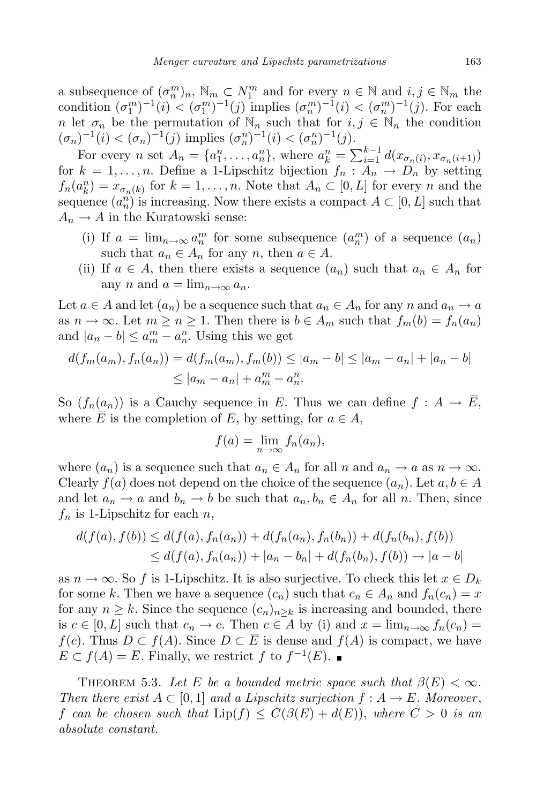a subsequence of  $(\sigma_n^m)_n$ ,  $\mathbb{N}_m \subset N_1^m$  and for every  $n \in \mathbb{N}$  and  $i, j \in \mathbb{N}_m$  the condition  $(\sigma_1^m)^{-1}(i) < (\sigma_1^m)^{-1}(j)$  implies  $(\sigma_n^m)^{-1}(i) < (\sigma_n^m)^{-1}(j)$ . For each n let  $\sigma_n$  be the permutation of  $\mathbb{N}_n$  such that for  $i, j \in \mathbb{N}_n$  the condition  $(\sigma_n)^{-1}(i) < (\sigma_n)^{-1}(j)$  implies  $(\sigma_n^n)^{-1}(i) < (\sigma_n^n)^{-1}(j)$ .

For every *n* set  $A_n = \{a_1^n, ..., a_n^n\}$ , where  $a_k^n = \sum_{i=1}^{k-1} d(x_{\sigma_n(i)}, x_{\sigma_n(i+1)})$ for  $k = 1, \ldots, n$ . Define a 1-Lipschitz bijection  $f_n : A_n \to D_n$  by setting  $f_n(a_k^n) = x_{\sigma_n(k)}$  for  $k = 1, \ldots, n$ . Note that  $A_n \subset [0, L]$  for every n and the sequence  $(a_n^n)$  is increasing. Now there exists a compact  $A \subset [0, L]$  such that  $A_n \to A$  in the Kuratowski sense:

- (i) If  $a = \lim_{n \to \infty} a_n^m$  for some subsequence  $(a_n^m)$  of a sequence  $(a_n)$ such that  $a_n \in A_n$  for any n, then  $a \in A$ .
- (ii) If  $a \in A$ , then there exists a sequence  $(a_n)$  such that  $a_n \in A_n$  for any n and  $a = \lim_{n \to \infty} a_n$ .

Let  $a \in A$  and let  $(a_n)$  be a sequence such that  $a_n \in A_n$  for any n and  $a_n \to a$ as  $n \to \infty$ . Let  $m \geq n \geq 1$ . Then there is  $b \in A_m$  such that  $f_m(b) = f_n(a_n)$ and  $|a_n - b| \le a_m^m - a_n^n$ . Using this we get

$$
d(f_m(a_m), f_n(a_n)) = d(f_m(a_m), f_m(b)) \le |a_m - b| \le |a_m - a_n| + |a_n - b|
$$
  
 
$$
\le |a_m - a_n| + a_m^m - a_n^n.
$$

So  $(f_n(a_n))$  is a Cauchy sequence in E. Thus we can define  $f: A \to \overline{E}$ , where  $\overline{E}$  is the completion of E, by setting, for  $a \in A$ ,

$$
f(a) = \lim_{n \to \infty} f_n(a_n),
$$

where  $(a_n)$  is a sequence such that  $a_n \in A_n$  for all n and  $a_n \to a$  as  $n \to \infty$ . Clearly  $f(a)$  does not depend on the choice of the sequence  $(a_n)$ . Let  $a, b \in A$ and let  $a_n \to a$  and  $b_n \to b$  be such that  $a_n, b_n \in A_n$  for all n. Then, since  $f_n$  is 1-Lipschitz for each  $n$ ,

$$
d(f(a), f(b)) \le d(f(a), f_n(a_n)) + d(f_n(a_n), f_n(b_n)) + d(f_n(b_n), f(b))
$$
  
\n
$$
\le d(f(a), f_n(a_n)) + |a_n - b_n| + d(f_n(b_n), f(b)) \to |a - b|
$$

as  $n \to \infty$ . So f is 1-Lipschitz. It is also surjective. To check this let  $x \in D_k$ for some k. Then we have a sequence  $(c_n)$  such that  $c_n \in A_n$  and  $f_n(c_n) = x$ for any  $n \geq k$ . Since the sequence  $(c_n)_{n \geq k}$  is increasing and bounded, there is  $c \in [0, L]$  such that  $c_n \to c$ . Then  $c \in A$  by (i) and  $x = \lim_{n \to \infty} f_n(c_n) =$  $f(c)$ . Thus  $D \subset f(A)$ . Since  $D \subset \overline{E}$  is dense and  $f(A)$  is compact, we have  $E \subset f(A) = \overline{E}$ . Finally, we restrict f to  $f^{-1}(E)$ .

THEOREM 5.3. Let E be a bounded metric space such that  $\beta(E) < \infty$ . Then there exist  $A \subset [0,1]$  and a Lipschitz surjection  $f : A \to E$ . Moreover, f can be chosen such that  $\text{Lip}(f) \leq C(\beta(E) + d(E))$ , where  $C > 0$  is an absolute constant.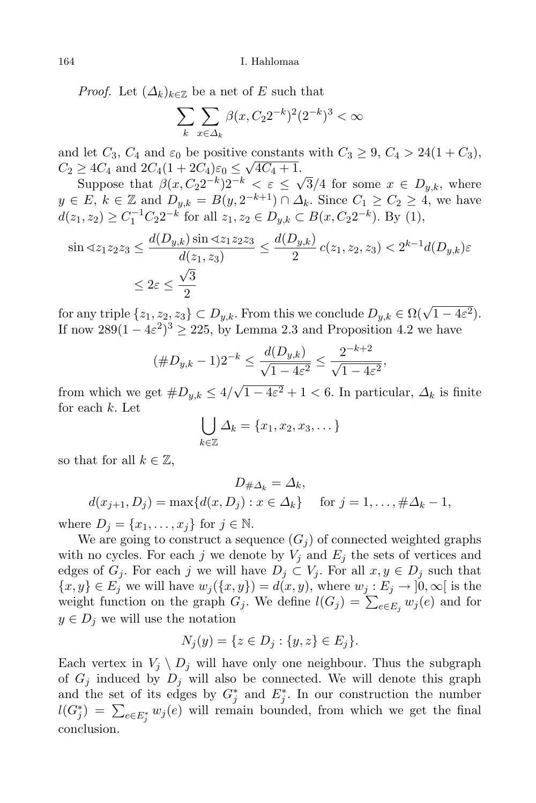*Proof.* Let  $(\Delta_k)_{k \in \mathbb{Z}}$  be a net of E such that

$$
\sum_{k} \sum_{x \in \Delta_k} \beta(x, C_2 2^{-k})^2 (2^{-k})^3 < \infty
$$

and let  $C_3$ ,  $C_4$  and  $\varepsilon_0$  be positive constants with  $C_3 \geq 9$ ,  $C_4 > 24(1+C_3)$ ,  $C_2 \geq 4C_4$  and  $2C_4(1+2C_4)\varepsilon_0 \leq \sqrt{4C_4+1}$ .

Suppose that  $\beta(x, C_2 2^{-k}) 2^{-k} < \varepsilon \leq \sqrt{3}/4$  for some  $x \in D_{y,k}$ , where  $y \in E, k \in \mathbb{Z}$  and  $D_{y,k} = B(y, 2^{-k+1}) \cap \Delta_k$ . Since  $C_1 \geq C_2 \geq 4$ , we have  $d(z_1, z_2) \ge C_1^{-1} C_2 2^{-k}$  for all  $z_1, z_2 \in D_{y,k} \subset B(x, C_2 2^{-k}).$  By (1),

$$
\sin \alpha z_1 z_2 z_3 \le \frac{d(D_{y,k}) \sin \alpha z_1 z_2 z_3}{d(z_1, z_3)} \le \frac{d(D_{y,k})}{2} c(z_1, z_2, z_3) < 2^{k-1} d(D_{y,k}) \varepsilon
$$
  

$$
\le 2\varepsilon \le \frac{\sqrt{3}}{2}
$$

for any triple  $\{z_1, z_2, z_3\} \subset D_{y,k}$ . From this we conclude  $D_{y,k} \in \Omega(\sqrt{1-4\varepsilon^2})$ . If now  $289(1-4\varepsilon^2)^3 \ge 225$ , by Lemma 2.3 and Proposition 4.2 we have

$$
(\#D_{y,k} - 1)2^{-k} \le \frac{d(D_{y,k})}{\sqrt{1 - 4\varepsilon^2}} \le \frac{2^{-k+2}}{\sqrt{1 - 4\varepsilon^2}},
$$

from which we get  $#D_{y,k} \leq 4/\sqrt{1-4\varepsilon^2} + 1 < 6$ . In particular,  $\Delta_k$  is finite for each k. Let

$$
\bigcup_{k\in\mathbb{Z}}\Delta_k=\{x_1,x_2,x_3,\dots\}
$$

so that for all  $k \in \mathbb{Z}$ ,

$$
D_{\#\Delta_k} = \Delta_k,
$$
  
\n
$$
d(x_{j+1}, D_j) = \max\{d(x, D_j) : x \in \Delta_k\} \quad \text{for } j = 1, \dots, \#\Delta_k - 1,
$$

where  $D_i = \{x_1, \ldots, x_i\}$  for  $j \in \mathbb{N}$ .

We are going to construct a sequence  $(G_i)$  of connected weighted graphs with no cycles. For each j we denote by  $V_j$  and  $E_j$  the sets of vertices and edges of  $G_i$ . For each j we will have  $D_i \subset V_i$ . For all  $x, y \in D_i$  such that  $\{x, y\} \in E_j$  we will have  $w_j(\{x, y\}) = d(x, y)$ , where  $w_j : E_j \to ]0, \infty[$  is the weight function on the graph  $G_j$ . We define  $l(G_j) = \sum_{e \in E_j} w_j(e)$  and for  $y \in D_i$  we will use the notation

$$
N_j(y) = \{ z \in D_j : \{y, z\} \in E_j \}.
$$

Each vertex in  $V_j \setminus D_j$  will have only one neighbour. Thus the subgraph of  $G_i$  induced by  $D_i$  will also be connected. We will denote this graph and the set of its edges by  $G_j^*$  and  $E_j^*$ . In our construction the number  $l(G_j^*) = \sum_{e \in E_j^*} w_j(e)$  will remain bounded, from which we get the final conclusion.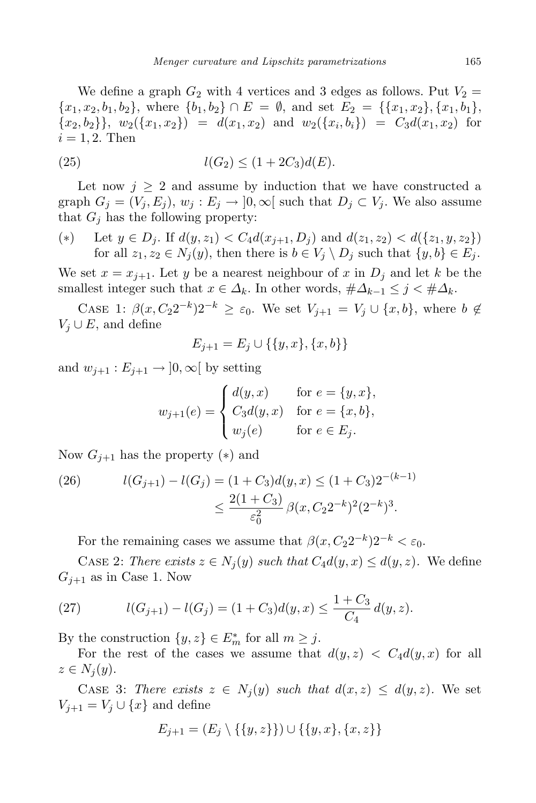We define a graph  $G_2$  with 4 vertices and 3 edges as follows. Put  $V_2 =$  ${x_1, x_2, b_1, b_2}$ , where  ${b_1, b_2} \cap E = \emptyset$ , and set  $E_2 = {\{x_1, x_2\}, \{x_1, b_1\}}$  ${x_2, b_2}, \, {w_2({x_1, x_2})} = d(x_1, x_2)$  and  $w_2({x_i, b_i}) = C_3d(x_1, x_2)$  for  $i = 1, 2$ . Then

(25) 
$$
l(G_2) \le (1 + 2C_3)d(E).
$$

Let now  $j \geq 2$  and assume by induction that we have constructed a graph  $G_i = (V_i, E_i), w_i : E_i \to [0, \infty[$  such that  $D_i \subset V_i$ . We also assume that  $G_j$  has the following property:

(\*) Let  $y \in D_j$ . If  $d(y, z_1) < C_4 d(x_{j+1}, D_j)$  and  $d(z_1, z_2) < d({z_1, y, z_2})$ for all  $z_1, z_2 \in N_j(y)$ , then there is  $b \in V_j \setminus D_j$  such that  $\{y, b\} \in E_j$ .

We set  $x = x_{j+1}$ . Let y be a nearest neighbour of x in  $D_j$  and let k be the smallest integer such that  $x \in \Delta_k$ . In other words,  $\#\Delta_{k-1} \leq j < \#\Delta_k$ .

CASE 1:  $\beta(x, C_2 2^{-k}) 2^{-k} \geq \varepsilon_0$ . We set  $V_{j+1} = V_j \cup \{x, b\}$ , where  $b \notin$  $V_i \cup E$ , and define

$$
E_{j+1} = E_j \cup \{\{y, x\}, \{x, b\}\}\
$$

and  $w_{j+1}: E_{j+1} \to [0, \infty[$  by setting

$$
w_{j+1}(e) = \begin{cases} d(y,x) & \text{for } e = \{y,x\}, \\ C_3 d(y,x) & \text{for } e = \{x,b\}, \\ w_j(e) & \text{for } e \in E_j. \end{cases}
$$

Now  $G_{j+1}$  has the property (\*) and

(26) 
$$
l(G_{j+1}) - l(G_j) = (1 + C_3)d(y, x) \le (1 + C_3)2^{-(k-1)}
$$

$$
\le \frac{2(1 + C_3)}{\varepsilon_0^2} \beta(x, C_2 2^{-k})^2 (2^{-k})^3.
$$

For the remaining cases we assume that  $\beta(x, C_2 2^{-k}) 2^{-k} < \varepsilon_0$ .

CASE 2: There exists  $z \in N_j(y)$  such that  $C_4d(y, x) \leq d(y, z)$ . We define  $G_{i+1}$  as in Case 1. Now

(27) 
$$
l(G_{j+1}) - l(G_j) = (1 + C_3)d(y, x) \le \frac{1 + C_3}{C_4}d(y, z).
$$

By the construction  $\{y, z\} \in E_m^*$  for all  $m \geq j$ .

For the rest of the cases we assume that  $d(y, z) < C_4 d(y, x)$  for all  $z \in N_i(y)$ .

CASE 3: There exists  $z \in N_i(y)$  such that  $d(x, z) \leq d(y, z)$ . We set  $V_{j+1} = V_j \cup \{x\}$  and define

$$
E_{j+1} = (E_j \setminus \{\{y, z\}\}) \cup \{\{y, x\}, \{x, z\}\}\
$$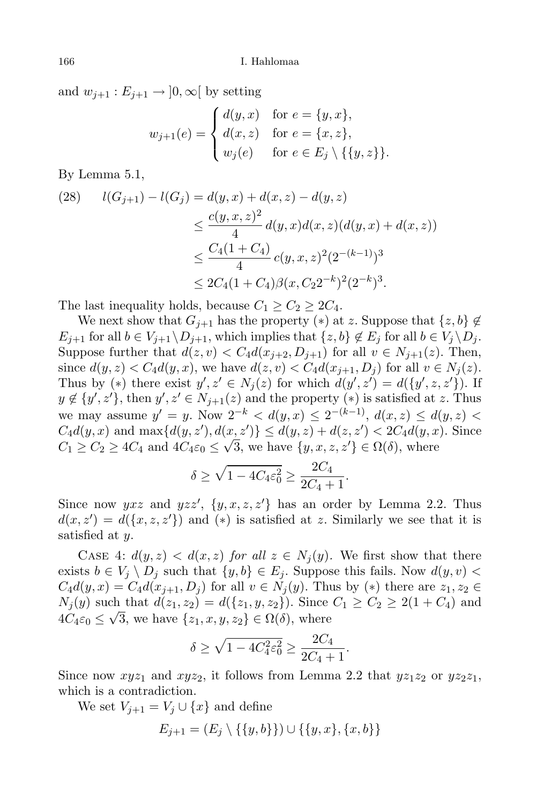and  $w_{i+1}: E_{i+1} \to [0, \infty[$  by setting

$$
w_{j+1}(e) = \begin{cases} d(y,x) & \text{for } e = \{y,x\}, \\ d(x,z) & \text{for } e = \{x,z\}, \\ w_j(e) & \text{for } e \in E_j \setminus \{\{y,z\}\}. \end{cases}
$$

By Lemma 5.1,

$$
\begin{aligned} l(G_{j+1}) - l(G_j) &= d(y, x) + d(x, z) - d(y, z) \\ &\le \frac{c(y, x, z)^2}{4} d(y, x) d(x, z) (d(y, x) + d(x, z)) \\ &\le \frac{C_4 (1 + C_4)}{4} c(y, x, z)^2 (2^{-(k-1)})^3 \\ &\le 2C_4 (1 + C_4) \beta(x, C_2 2^{-k})^2 (2^{-k})^3. \end{aligned}
$$

The last inequality holds, because  $C_1 \geq C_2 \geq 2C_4$ .

We next show that  $G_{i+1}$  has the property (\*) at z. Suppose that  $\{z, b\} \notin$  $E_{i+1}$  for all  $b \in V_{i+1} \backslash D_{i+1}$ , which implies that  $\{z, b\} \notin E_i$  for all  $b \in V_i \backslash D_i$ . Suppose further that  $d(z, v) < C_4 d(x_{j+2}, D_{j+1})$  for all  $v \in N_{j+1}(z)$ . Then, since  $d(y, z) < C_4 d(y, x)$ , we have  $d(z, v) < C_4 d(x_{j+1}, D_j)$  for all  $v \in N_j(z)$ . Thus by (\*) there exist  $y', z' \in N_j(z)$  for which  $d(y', z') = d({y', z, z'})$ . If  $y \notin \{y', z'\}$ , then  $y', z' \in N_{j+1}(z)$  and the property  $(*)$  is satisfied at z. Thus we may assume  $y' = y$ . Now  $2^{-k} < d(y, x) \le 2^{-(k-1)}$ ,  $d(x, z) \le d(y, z)$  $C_4d(y, x)$  and  $\max\{d(y, z'), d(x, z')\} \leq d(y, z) + d(z, z') < 2C_4d(y, x)$ . Since  $C_1 \ge C_2 \ge 4C_4$  and  $4C_4\varepsilon_0 \le \sqrt{3}$ , we have  $\{y, x, z, z'\} \in \Omega(\delta)$ , where

$$
\delta \ge \sqrt{1 - 4C_4 \varepsilon_0^2} \ge \frac{2C_4}{2C_4 + 1}.
$$

Since now  $yxz$  and  $yzz'$ ,  $\{y, x, z, z'\}$  has an order by Lemma 2.2. Thus  $d(x, z') = d({x, z, z'})$  and  $(*)$  is satisfied at z. Similarly we see that it is satisfied at y.

CASE 4:  $d(y, z) < d(x, z)$  for all  $z \in N_i(y)$ . We first show that there exists  $b \in V_j \setminus D_j$  such that  $\{y, b\} \in E_j$ . Suppose this fails. Now  $d(y, v)$  $C_4d(y, x) = C_4d(x_{j+1}, D_j)$  for all  $v \in N_j(y)$ . Thus by  $(*)$  there are  $z_1, z_2 \in$  $N_i(y)$  such that  $d(z_1, z_2) = d({z_1, y, z_2})$ . Since  $C_1 \ge C_2 \ge 2(1 + C_4)$  and  $4C_4\varepsilon_0 \leq \sqrt{3}$ , we have  $\{z_1, x, y, z_2\} \in \Omega(\delta)$ , where

$$
\delta \ge \sqrt{1 - 4C_4^2 \varepsilon_0^2} \ge \frac{2C_4}{2C_4 + 1}.
$$

Since now  $xyz_1$  and  $xyz_2$ , it follows from Lemma 2.2 that  $yz_1z_2$  or  $yz_2z_1$ , which is a contradiction.

We set  $V_{j+1} = V_j \cup \{x\}$  and define

$$
E_{j+1} = (E_j \setminus \{\{y, b\}\}) \cup \{\{y, x\}, \{x, b\}\}\
$$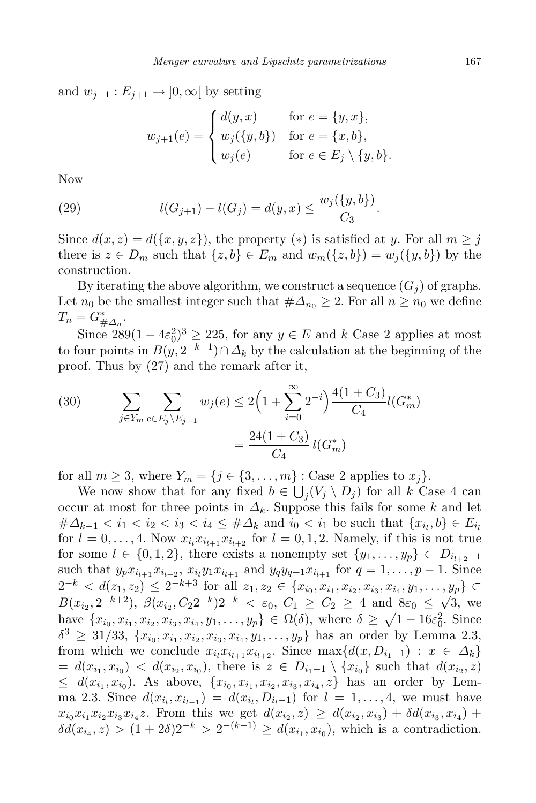and  $w_{i+1}: E_{i+1} \to [0, \infty[$  by setting

$$
w_{j+1}(e) = \begin{cases} d(y,x) & \text{for } e = \{y,x\}, \\ w_j(\{y,b\}) & \text{for } e = \{x,b\}, \\ w_j(e) & \text{for } e \in E_j \setminus \{y,b\}. \end{cases}
$$

Now

(29) 
$$
l(G_{j+1}) - l(G_j) = d(y, x) \leq \frac{w_j(\{y, b\})}{C_3}.
$$

Since  $d(x, z) = d({x, y, z})$ , the property (\*) is satisfied at y. For all  $m \geq j$ there is  $z \in D_m$  such that  $\{z, b\} \in E_m$  and  $w_m(\{z, b\}) = w_i(\{y, b\})$  by the construction.

By iterating the above algorithm, we construct a sequence  $(G_i)$  of graphs. Let  $n_0$  be the smallest integer such that  $\#\Delta_{n_0} \geq 2$ . For all  $n \geq n_0$  we define  $T_n = G^*_{\# \Delta_n}.$ 

Since  $289(1-4\varepsilon_0^2)^3 \ge 225$ , for any  $y \in E$  and k Case 2 applies at most to four points in  $B(y, 2^{-k+1}) \cap \Delta_k$  by the calculation at the beginning of the proof. Thus by (27) and the remark after it,

(30) 
$$
\sum_{j \in Y_m} \sum_{e \in E_j \setminus E_{j-1}} w_j(e) \le 2\left(1 + \sum_{i=0}^{\infty} 2^{-i}\right) \frac{4(1+C_3)}{C_4} l(G_m^*)
$$

$$
= \frac{24(1+C_3)}{C_4} l(G_m^*)
$$

for all  $m \geq 3$ , where  $Y_m = \{j \in \{3, \ldots, m\} : \text{Case 2 applies to } x_j\}.$ 

We now show that for any fixed  $b \in \bigcup_j (V_j \setminus D_j)$  for all k Case 4 can occur at most for three points in  $\Delta_k$ . Suppose this fails for some k and let  $\#\Delta_{k-1} < i_1 < i_2 < i_3 < i_4 \leq \#\Delta_k$  and  $i_0 < i_1$  be such that  $\{x_{i_l}, b\} \in E_{i_l}$ for  $l = 0, \ldots, 4$ . Now  $x_{i_l} x_{i_{l+1}} x_{i_{l+2}}$  for  $l = 0, 1, 2$ . Namely, if this is not true for some  $l \in \{0, 1, 2\}$ , there exists a nonempty set  $\{y_1, \ldots, y_p\} \subset D_{i_{l+2}-1}$ such that  $y_p x_{i_{l+1}} x_{i_{l+2}}$ ,  $x_{i_l} y_1 x_{i_{l+1}}$  and  $y_q y_{q+1} x_{i_{l+1}}$  for  $q = 1, ..., p-1$ . Since  $2^{-k} < d(z_1, z_2) \leq 2^{-k+3}$  for all  $z_1, z_2 \in \{x_{i_0}, x_{i_1}, x_{i_2}, x_{i_3}, x_{i_4}, y_1, \ldots, y_p\} \subset$  $B(x_{i_2}, 2^{-k+2}), \ \beta(x_{i_2}, C_2 2^{-k}) 2^{-k} < \varepsilon_0, C_1 \geq C_2 \geq 4$  and  $8\varepsilon_0 \leq \sqrt{3}$ , we have  $\{x_{i_0}, x_{i_1}, x_{i_2}, x_{i_3}, x_{i_4}, y_1, \ldots, y_p\} \in \Omega(\delta)$ , where  $\delta \geq \sqrt{1 - 16\varepsilon_0^2}$ . Since  $\delta^3 \geq 31/33, \{x_{i_0}, x_{i_1}, x_{i_2}, x_{i_3}, x_{i_4}, y_1, \ldots, y_p\}$  has an order by Lemma 2.3, from which we conclude  $x_{i_l} x_{i_{l+1}} x_{i_{l+2}}$ . Since  $\max\{d(x, D_{i_1-1}) : x \in \Delta_k\}$  $= d(x_{i_1}, x_{i_0}) < d(x_{i_2}, x_{i_0}),$  there is  $z \in D_{i_1-1} \setminus \{x_{i_0}\}$  such that  $d(x_{i_2}, z)$  $\leq d(x_{i_1}, x_{i_0})$ . As above,  $\{x_{i_0}, x_{i_1}, x_{i_2}, x_{i_3}, x_{i_4}, z\}$  has an order by Lemma 2.3. Since  $d(x_{i_l}, x_{i_{l-1}}) = d(x_{i_l}, D_{i_l-1})$  for  $l = 1, ..., 4$ , we must have  $x_{i_0}x_{i_1}x_{i_2}x_{i_3}x_{i_4}z$ . From this we get  $d(x_{i_2}, z) \geq d(x_{i_2}, x_{i_3}) + \delta d(x_{i_3}, x_{i_4}) +$  $\delta d(x_{i_4}, z) > (1 + 2\delta)2^{-k} > 2^{-(k-1)} \ge d(x_{i_1}, x_{i_0}),$  which is a contradiction.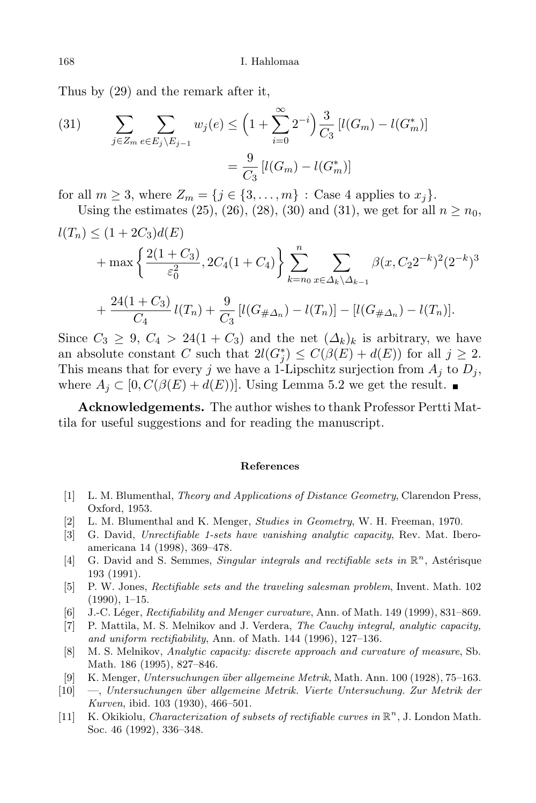Thus by (29) and the remark after it,

(31) 
$$
\sum_{j \in Z_m} \sum_{e \in E_j \setminus E_{j-1}} w_j(e) \le \left(1 + \sum_{i=0}^{\infty} 2^{-i}\right) \frac{3}{C_3} \left[l(G_m) - l(G_m^*)\right]
$$

$$
= \frac{9}{C_3} \left[l(G_m) - l(G_m^*)\right]
$$

for all  $m \geq 3$ , where  $Z_m = \{j \in \{3, \ldots, m\} : \text{Case 4 applies to } x_j\}.$ 

Using the estimates (25), (26), (28), (30) and (31), we get for all  $n \ge n_0$ ,  $l(T_n) \leq (1 + 2C_3)d(E)$ 

$$
+\max\left\{\frac{2(1+C_3)}{\varepsilon_0^2}, 2C_4(1+C_4)\right\}\sum_{k=n_0}^{n} \sum_{x\in\Delta_k\setminus\Delta_{k-1}} \beta(x, C_2 2^{-k})^2 (2^{-k})^3
$$
  
+ 
$$
\frac{24(1+C_3)}{C_4}l(T_n) + \frac{9}{C_3}[l(G_{\#\Delta_n}) - l(T_n)] - [l(G_{\#\Delta_n}) - l(T_n)].
$$

Since  $C_3 \geq 9$ ,  $C_4 > 24(1+C_3)$  and the net  $(\Delta_k)_k$  is arbitrary, we have an absolute constant C such that  $2l(G_j^*) \leq C(\beta(E) + d(E))$  for all  $j \geq 2$ . This means that for every j we have a 1-Lipschitz surjection from  $A_i$  to  $D_i$ , where  $A_j \subset [0, C(\beta(E) + d(E))]$ . Using Lemma 5.2 we get the result.

Acknowledgements. The author wishes to thank Professor Pertti Mattila for useful suggestions and for reading the manuscript.

## References

- [1] L. M. Blumenthal, Theory and Applications of Distance Geometry, Clarendon Press, Oxford, 1953.
- [2] L. M. Blumenthal and K. Menger, Studies in Geometry, W. H. Freeman, 1970.
- [3] G. David, Unrectifiable 1-sets have vanishing analytic capacity, Rev. Mat. Iberoamericana 14 (1998), 369–478.
- [4] G. David and S. Semmes, Singular integrals and rectifiable sets in  $\mathbb{R}^n$ , Astérisque 193 (1991).
- [5] P. W. Jones, Rectifiable sets and the traveling salesman problem, Invent. Math. 102  $(1990), 1-15.$
- [6] J.-C. Léger, Rectifiability and Menger curvature, Ann. of Math. 149 (1999), 831–869.
- [7] P. Mattila, M. S. Melnikov and J. Verdera, The Cauchy integral, analytic capacity, and uniform rectifiability, Ann. of Math. 144 (1996), 127–136.
- [8] M. S. Melnikov, Analytic capacity: discrete approach and curvature of measure, Sb. Math. 186 (1995), 827–846.
- [9] K. Menger, Untersuchungen über allgemeine Metrik, Math. Ann. 100 (1928), 75–163.
- $[10] \quad -$ , Untersuchungen über allgemeine Metrik. Vierte Untersuchung. Zur Metrik der Kurven, ibid. 103 (1930), 466–501.
- [11] K. Okikiolu, *Characterization of subsets of rectifiable curves in*  $\mathbb{R}^n$ , J. London Math. Soc. 46 (1992), 336–348.